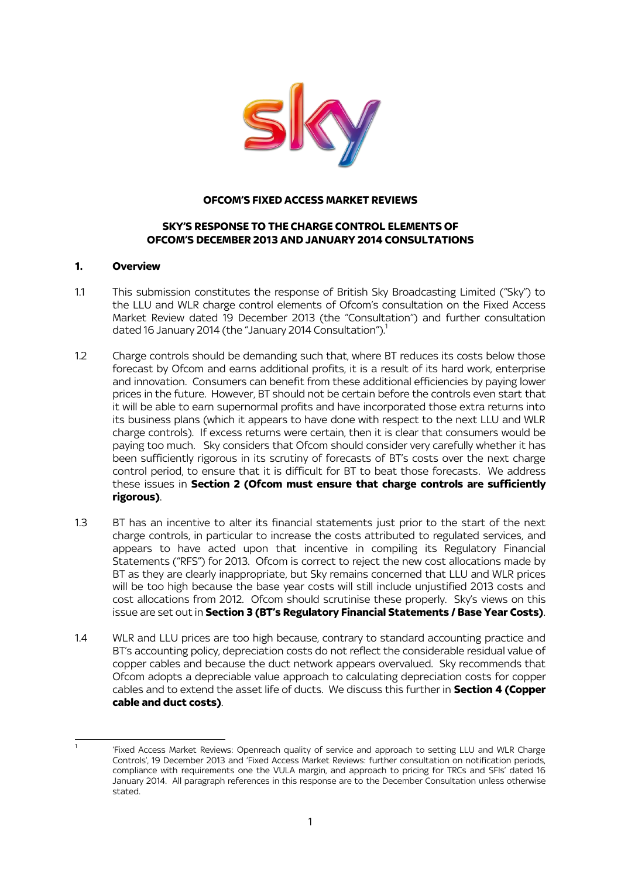

### **OFCOM'S FIXED ACCESS MARKET REVIEWS**

### **SKY'S RESPONSE TO THE CHARGE CONTROL ELEMENTS OF OFCOM'S DECEMBER 2013 AND JANUARY 2014 CONSULTATIONS**

#### **1. Overview**

- 1.1 This submission constitutes the response of British Sky Broadcasting Limited ("Sky") to the LLU and WLR charge control elements of Ofcom's consultation on the Fixed Access Market Review dated 19 December 2013 (the "Consultation") and further consultation dated 16 January 2014 (the "January 2014 Consultation"). $1$
- 1.2 Charge controls should be demanding such that, where BT reduces its costs below those forecast by Ofcom and earns additional profits, it is a result of its hard work, enterprise and innovation. Consumers can benefit from these additional efficiencies by paying lower prices in the future. However, BT should not be certain before the controls even start that it will be able to earn supernormal profits and have incorporated those extra returns into its business plans (which it appears to have done with respect to the next LLU and WLR charge controls). If excess returns were certain, then it is clear that consumers would be paying too much. Sky considers that Ofcom should consider very carefully whether it has been sufficiently rigorous in its scrutiny of forecasts of BT's costs over the next charge control period, to ensure that it is difficult for BT to beat those forecasts. We address these issues in **Section 2 (Ofcom must ensure that charge controls are sufficiently rigorous)**.
- 1.3 BT has an incentive to alter its financial statements just prior to the start of the next charge controls, in particular to increase the costs attributed to regulated services, and appears to have acted upon that incentive in compiling its Regulatory Financial Statements ("RFS") for 2013. Ofcom is correct to reject the new cost allocations made by BT as they are clearly inappropriate, but Sky remains concerned that LLU and WLR prices will be too high because the base year costs will still include unjustified 2013 costs and cost allocations from 2012. Ofcom should scrutinise these properly. Sky's views on this issue are set out in **Section 3 (BT's Regulatory Financial Statements / Base Year Costs)**.
- 1.4 WLR and LLU prices are too high because, contrary to standard accounting practice and BT's accounting policy, depreciation costs do not reflect the considerable residual value of copper cables and because the duct network appears overvalued. Sky recommends that Ofcom adopts a depreciable value approach to calculating depreciation costs for copper cables and to extend the asset life of ducts. We discuss this further in **Section 4 (Copper cable and duct costs)**.

. 1

<sup>&#</sup>x27;Fixed Access Market Reviews: Openreach quality of service and approach to setting LLU and WLR Charge Controls', 19 December 2013 and 'Fixed Access Market Reviews: further consultation on notification periods, compliance with requirements one the VULA margin, and approach to pricing for TRCs and SFIs' dated 16 January 2014. All paragraph references in this response are to the December Consultation unless otherwise stated.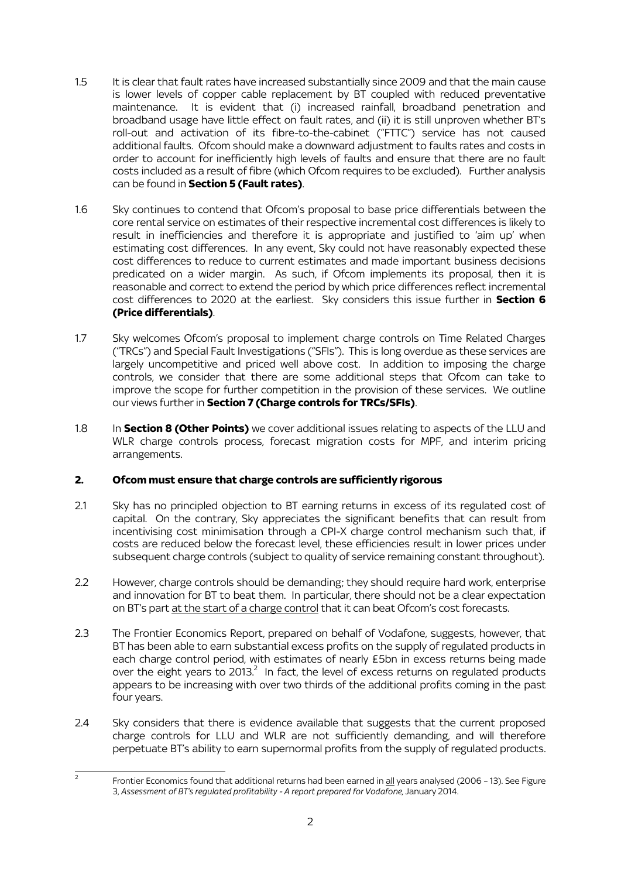- 1.5 It is clear that fault rates have increased substantially since 2009 and that the main cause is lower levels of copper cable replacement by BT coupled with reduced preventative maintenance. It is evident that (i) increased rainfall, broadband penetration and broadband usage have little effect on fault rates, and (ii) it is still unproven whether BT's roll-out and activation of its fibre-to-the-cabinet ("FTTC") service has not caused additional faults. Ofcom should make a downward adjustment to faults rates and costs in order to account for inefficiently high levels of faults and ensure that there are no fault costs included as a result of fibre (which Ofcom requires to be excluded). Further analysis can be found in **Section 5 (Fault rates)**.
- 1.6 Sky continues to contend that Ofcom's proposal to base price differentials between the core rental service on estimates of their respective incremental cost differences is likely to result in inefficiencies and therefore it is appropriate and justified to 'aim up' when estimating cost differences. In any event, Sky could not have reasonably expected these cost differences to reduce to current estimates and made important business decisions predicated on a wider margin. As such, if Ofcom implements its proposal, then it is reasonable and correct to extend the period by which price differences reflect incremental cost differences to 2020 at the earliest. Sky considers this issue further in **Section 6 (Price differentials)**.
- 1.7 Sky welcomes Ofcom's proposal to implement charge controls on Time Related Charges ("TRCs") and Special Fault Investigations ("SFIs"). This is long overdue as these services are largely uncompetitive and priced well above cost. In addition to imposing the charge controls, we consider that there are some additional steps that Ofcom can take to improve the scope for further competition in the provision of these services. We outline our views further in **Section 7 (Charge controls for TRCs/SFIs)**.
- 1.8 In **Section 8 (Other Points)** we cover additional issues relating to aspects of the LLU and WLR charge controls process, forecast migration costs for MPF, and interim pricing arrangements.

# **2. Ofcom must ensure that charge controls are sufficiently rigorous**

- 2.1 Sky has no principled objection to BT earning returns in excess of its regulated cost of capital. On the contrary, Sky appreciates the significant benefits that can result from incentivising cost minimisation through a CPI-X charge control mechanism such that, if costs are reduced below the forecast level, these efficiencies result in lower prices under subsequent charge controls (subject to quality of service remaining constant throughout).
- 2.2 However, charge controls should be demanding; they should require hard work, enterprise and innovation for BT to beat them. In particular, there should not be a clear expectation on BT's part at the start of a charge control that it can beat Ofcom's cost forecasts.
- 2.3 The Frontier Economics Report, prepared on behalf of Vodafone, suggests, however, that BT has been able to earn substantial excess profits on the supply of regulated products in each charge control period, with estimates of nearly £5bn in excess returns being made over the eight years to 2013. $^2$  In fact, the level of excess returns on regulated products appears to be increasing with over two thirds of the additional profits coming in the past four years.
- 2.4 Sky considers that there is evidence available that suggests that the current proposed charge controls for LLU and WLR are not sufficiently demanding, and will therefore perpetuate BT's ability to earn supernormal profits from the supply of regulated products.

 $\frac{1}{2}$ Frontier Economics found that additional returns had been earned in all years analysed (2006 - 13). See Figure 3, *Assessment of BT's regulated profitability - A report prepared for Vodafone,* January 2014.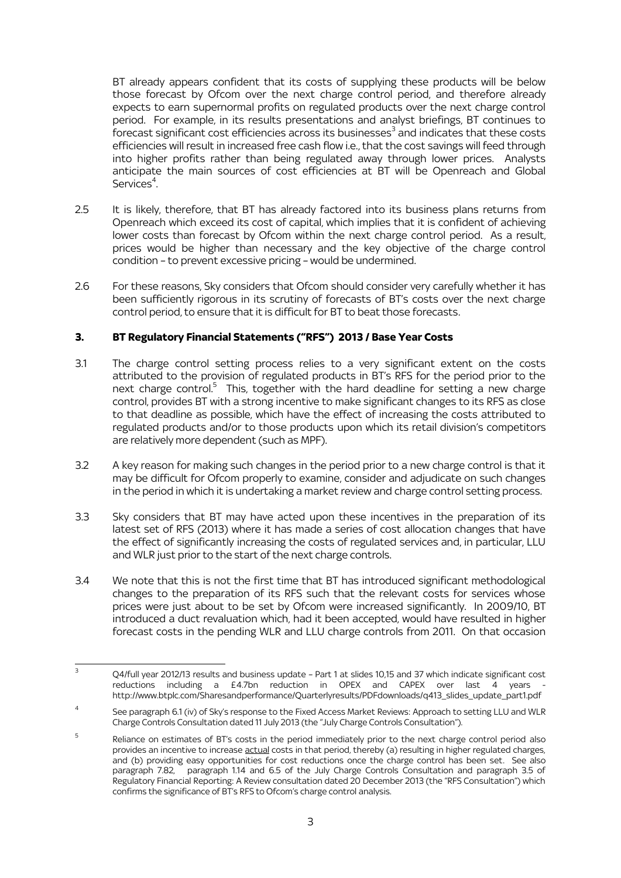BT already appears confident that its costs of supplying these products will be below those forecast by Ofcom over the next charge control period, and therefore already expects to earn supernormal profits on regulated products over the next charge control period. For example, in its results presentations and analyst briefings, BT continues to  $\overline{f}$  forecast significant cost efficiencies across its businesses $^3$  and indicates that these costs efficiencies will result in increased free cash flow i.e., that the cost savings will feed through into higher profits rather than being regulated away through lower prices. Analysts anticipate the main sources of cost efficiencies at BT will be Openreach and Global Services<sup>4</sup>.

- 2.5 It is likely, therefore, that BT has already factored into its business plans returns from Openreach which exceed its cost of capital, which implies that it is confident of achieving lower costs than forecast by Ofcom within the next charge control period. As a result, prices would be higher than necessary and the key objective of the charge control condition – to prevent excessive pricing – would be undermined.
- 2.6 For these reasons, Sky considers that Ofcom should consider very carefully whether it has been sufficiently rigorous in its scrutiny of forecasts of BT's costs over the next charge control period, to ensure that it is difficult for BT to beat those forecasts.

# **3. BT Regulatory Financial Statements ("RFS") 2013 / Base Year Costs**

- 3.1 The charge control setting process relies to a very significant extent on the costs attributed to the provision of regulated products in BT's RFS for the period prior to the next charge control.<sup>5</sup> This, together with the hard deadline for setting a new charge control, provides BT with a strong incentive to make significant changes to its RFS as close to that deadline as possible, which have the effect of increasing the costs attributed to regulated products and/or to those products upon which its retail division's competitors are relatively more dependent (such as MPF).
- 3.2 A key reason for making such changes in the period prior to a new charge control is that it may be difficult for Ofcom properly to examine, consider and adjudicate on such changes in the period in which it is undertaking a market review and charge control setting process.
- 3.3 Sky considers that BT may have acted upon these incentives in the preparation of its latest set of RFS (2013) where it has made a series of cost allocation changes that have the effect of significantly increasing the costs of regulated services and, in particular, LLU and WLR just prior to the start of the next charge controls.
- 3.4 We note that this is not the first time that BT has introduced significant methodological changes to the preparation of its RFS such that the relevant costs for services whose prices were just about to be set by Ofcom were increased significantly. In 2009/10, BT introduced a duct revaluation which, had it been accepted, would have resulted in higher forecast costs in the pending WLR and LLU charge controls from 2011. On that occasion

 $\overline{3}$ Q4/full year 2012/13 results and business update - Part 1 at slides 10,15 and 37 which indicate significant cost reductions including a  $£4.7$ bn reduction in OPEX and CAPEX over last  $\overline{4}$  years http://www.btplc.com/Sharesandperformance/Quarterlyresults/PDFdownloads/q413\_slides\_update\_part1.pdf

<sup>4</sup> See paragraph 6.1 (iv) of Sky's response to the Fixed Access Market Reviews: Approach to setting LLU and WLR Charge Controls Consultation dated 11 July 2013 (the "July Charge Controls Consultation").

<sup>5</sup> Reliance on estimates of BT's costs in the period immediately prior to the next charge control period also provides an incentive to increase actual costs in that period, thereby (a) resulting in higher regulated charges, and (b) providing easy opportunities for cost reductions once the charge control has been set. See also paragraph 7.82, paragraph 1.14 and 6.5 of the July Charge Controls Consultation and paragraph 3.5 of Regulatory Financial Reporting: A Review consultation dated 20 December 2013 (the "RFS Consultation") which confirms the significance of BT's RFS to Ofcom's charge control analysis.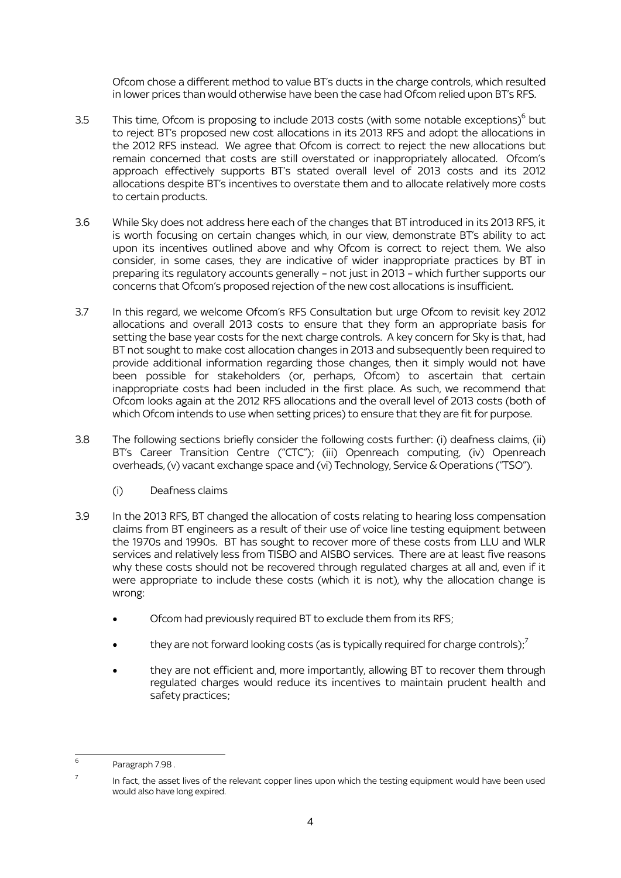Ofcom chose a different method to value BT's ducts in the charge controls, which resulted in lower prices than would otherwise have been the case had Ofcom relied upon BT's RFS.

- 3.5 This time, Ofcom is proposing to include 2013 costs (with some notable exceptions) $^6$  but to reject BT's proposed new cost allocations in its 2013 RFS and adopt the allocations in the 2012 RFS instead. We agree that Ofcom is correct to reject the new allocations but remain concerned that costs are still overstated or inappropriately allocated. Ofcom's approach effectively supports BT's stated overall level of 2013 costs and its 2012 allocations despite BT's incentives to overstate them and to allocate relatively more costs to certain products.
- 3.6 While Sky does not address here each of the changes that BT introduced in its 2013 RFS, it is worth focusing on certain changes which, in our view, demonstrate BT's ability to act upon its incentives outlined above and why Ofcom is correct to reject them. We also consider, in some cases, they are indicative of wider inappropriate practices by BT in preparing its regulatory accounts generally – not just in 2013 – which further supports our concerns that Ofcom's proposed rejection of the new cost allocations is insufficient.
- 3.7 In this regard, we welcome Ofcom's RFS Consultation but urge Ofcom to revisit key 2012 allocations and overall 2013 costs to ensure that they form an appropriate basis for setting the base year costs for the next charge controls. A key concern for Sky is that, had BT not sought to make cost allocation changes in 2013 and subsequently been required to provide additional information regarding those changes, then it simply would not have been possible for stakeholders (or, perhaps, Ofcom) to ascertain that certain inappropriate costs had been included in the first place. As such, we recommend that Ofcom looks again at the 2012 RFS allocations and the overall level of 2013 costs (both of which Ofcom intends to use when setting prices) to ensure that they are fit for purpose.
- 3.8 The following sections briefly consider the following costs further: (i) deafness claims, (ii) BT's Career Transition Centre ("CTC"); (iii) Openreach computing, (iv) Openreach overheads, (v) vacant exchange space and (vi) Technology, Service & Operations ("TSO").
	- (i) Deafness claims
- 3.9 In the 2013 RFS, BT changed the allocation of costs relating to hearing loss compensation claims from BT engineers as a result of their use of voice line testing equipment between the 1970s and 1990s. BT has sought to recover more of these costs from LLU and WLR services and relatively less from TISBO and AISBO services. There are at least five reasons why these costs should not be recovered through regulated charges at all and, even if it were appropriate to include these costs (which it is not), why the allocation change is wrong:
	- Ofcom had previously required BT to exclude them from its RFS;
	- they are not forward looking costs (as is typically required for charge controls); $\frac{7}{2}$
	- they are not efficient and, more importantly, allowing BT to recover them through regulated charges would reduce its incentives to maintain prudent health and safety practices;

 $\frac{1}{6}$ Paragraph 7.98 .

<sup>7</sup> In fact, the asset lives of the relevant copper lines upon which the testing equipment would have been used would also have long expired.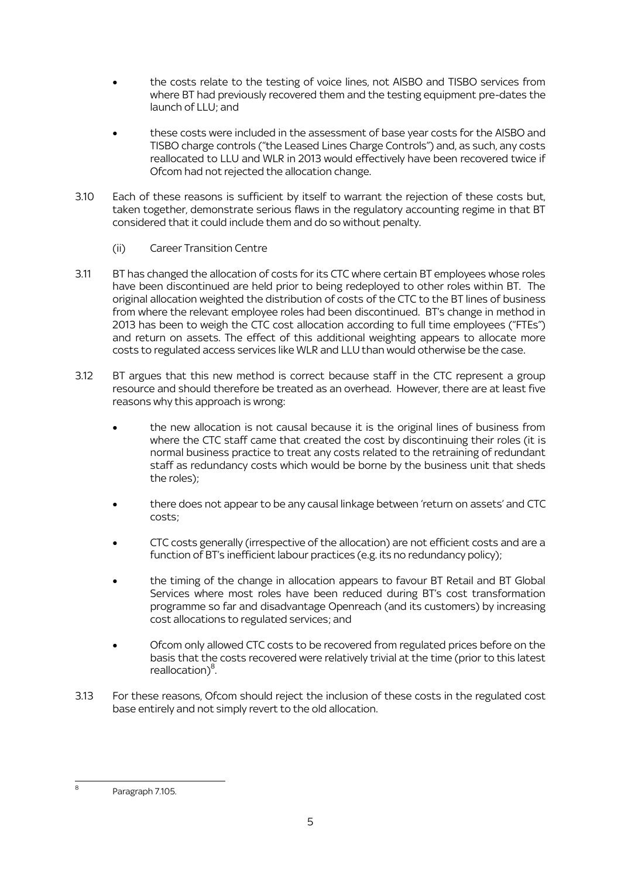- the costs relate to the testing of voice lines, not AISBO and TISBO services from where BT had previously recovered them and the testing equipment pre-dates the launch of LLU; and
- these costs were included in the assessment of base year costs for the AISBO and TISBO charge controls ("the Leased Lines Charge Controls") and, as such, any costs reallocated to LLU and WLR in 2013 would effectively have been recovered twice if Ofcom had not rejected the allocation change.
- 3.10 Each of these reasons is sufficient by itself to warrant the rejection of these costs but, taken together, demonstrate serious flaws in the regulatory accounting regime in that BT considered that it could include them and do so without penalty.
	- (ii) Career Transition Centre
- 3.11 BT has changed the allocation of costs for its CTC where certain BT employees whose roles have been discontinued are held prior to being redeployed to other roles within BT. The original allocation weighted the distribution of costs of the CTC to the BT lines of business from where the relevant employee roles had been discontinued. BT's change in method in 2013 has been to weigh the CTC cost allocation according to full time employees ("FTEs") and return on assets. The effect of this additional weighting appears to allocate more costs to regulated access services like WLR and LLU than would otherwise be the case.
- 3.12 BT argues that this new method is correct because staff in the CTC represent a group resource and should therefore be treated as an overhead. However, there are at least five reasons why this approach is wrong:
	- the new allocation is not causal because it is the original lines of business from where the CTC staff came that created the cost by discontinuing their roles (it is normal business practice to treat any costs related to the retraining of redundant staff as redundancy costs which would be borne by the business unit that sheds the roles);
	- there does not appear to be any causal linkage between 'return on assets' and CTC costs;
	- CTC costs generally (irrespective of the allocation) are not efficient costs and are a function of BT's inefficient labour practices (e.g. its no redundancy policy);
	- the timing of the change in allocation appears to favour BT Retail and BT Global Services where most roles have been reduced during BT's cost transformation programme so far and disadvantage Openreach (and its customers) by increasing cost allocations to regulated services; and
	- Ofcom only allowed CTC costs to be recovered from regulated prices before on the basis that the costs recovered were relatively trivial at the time (prior to this latest reallocation)<sup>8</sup>.
- 3.13 For these reasons, Ofcom should reject the inclusion of these costs in the regulated cost base entirely and not simply revert to the old allocation.

<sup>.</sup> 8 Paragraph 7.105.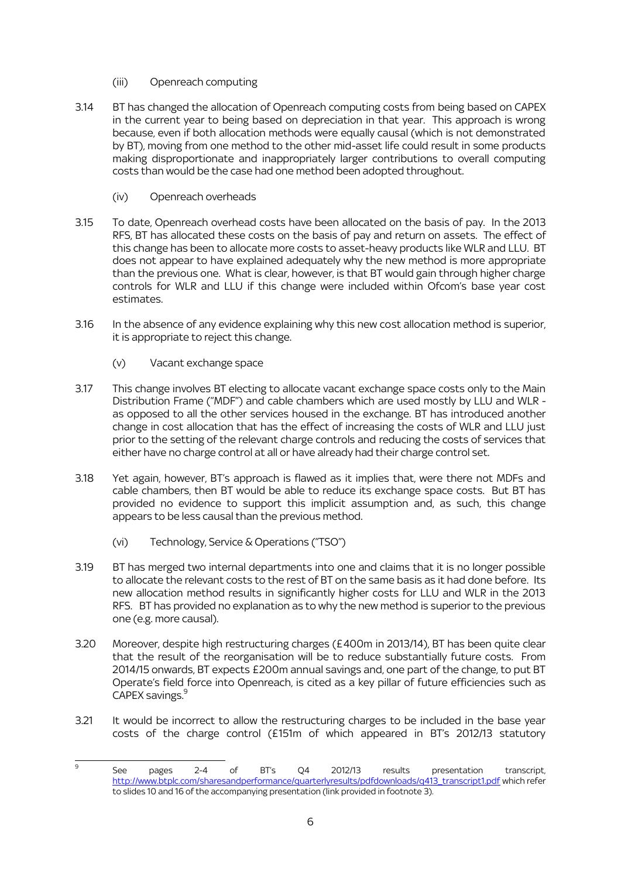- (iii) Openreach computing
- 3.14 BT has changed the allocation of Openreach computing costs from being based on CAPEX in the current year to being based on depreciation in that year. This approach is wrong because, even if both allocation methods were equally causal (which is not demonstrated by BT), moving from one method to the other mid-asset life could result in some products making disproportionate and inappropriately larger contributions to overall computing costs than would be the case had one method been adopted throughout.
	- (iv) Openreach overheads
- 3.15 To date, Openreach overhead costs have been allocated on the basis of pay. In the 2013 RFS, BT has allocated these costs on the basis of pay and return on assets. The effect of this change has been to allocate more costs to asset-heavy products like WLR and LLU. BT does not appear to have explained adequately why the new method is more appropriate than the previous one. What is clear, however, is that BT would gain through higher charge controls for WLR and LLU if this change were included within Ofcom's base year cost estimates.
- 3.16 In the absence of any evidence explaining why this new cost allocation method is superior, it is appropriate to reject this change.
	- (v) Vacant exchange space
- 3.17 This change involves BT electing to allocate vacant exchange space costs only to the Main Distribution Frame ("MDF") and cable chambers which are used mostly by LLU and WLR as opposed to all the other services housed in the exchange. BT has introduced another change in cost allocation that has the effect of increasing the costs of WLR and LLU just prior to the setting of the relevant charge controls and reducing the costs of services that either have no charge control at all or have already had their charge control set.
- 3.18 Yet again, however, BT's approach is flawed as it implies that, were there not MDFs and cable chambers, then BT would be able to reduce its exchange space costs. But BT has provided no evidence to support this implicit assumption and, as such, this change appears to be less causal than the previous method.
	- (vi) Technology, Service & Operations ("TSO")
- 3.19 BT has merged two internal departments into one and claims that it is no longer possible to allocate the relevant costs to the rest of BT on the same basis as it had done before. Its new allocation method results in significantly higher costs for LLU and WLR in the 2013 RFS. BT has provided no explanation as to why the new method is superior to the previous one (e.g. more causal).
- 3.20 Moreover, despite high restructuring charges (£400m in 2013/14), BT has been quite clear that the result of the reorganisation will be to reduce substantially future costs. From 2014/15 onwards, BT expects £200m annual savings and, one part of the change, to put BT Operate's field force into Openreach, is cited as a key pillar of future efficiencies such as CAPEX savings. 9
- 3.21 It would be incorrect to allow the restructuring charges to be included in the base year costs of the charge control (£151m of which appeared in BT's 2012/13 statutory

<sup>-&</sup>lt;br>9 See pages 2-4 of BT's Q4 2012/13 results presentation transcript, [http://www.btplc.com/sharesandperformance/quarterlyresults/pdfdownloads/q413\\_transcript1.pdf](http://www.btplc.com/sharesandperformance/quarterlyresults/pdfdownloads/q413_transcript1.pdf) which refer to slides 10 and 16 of the accompanying presentation (link provided in footnote 3).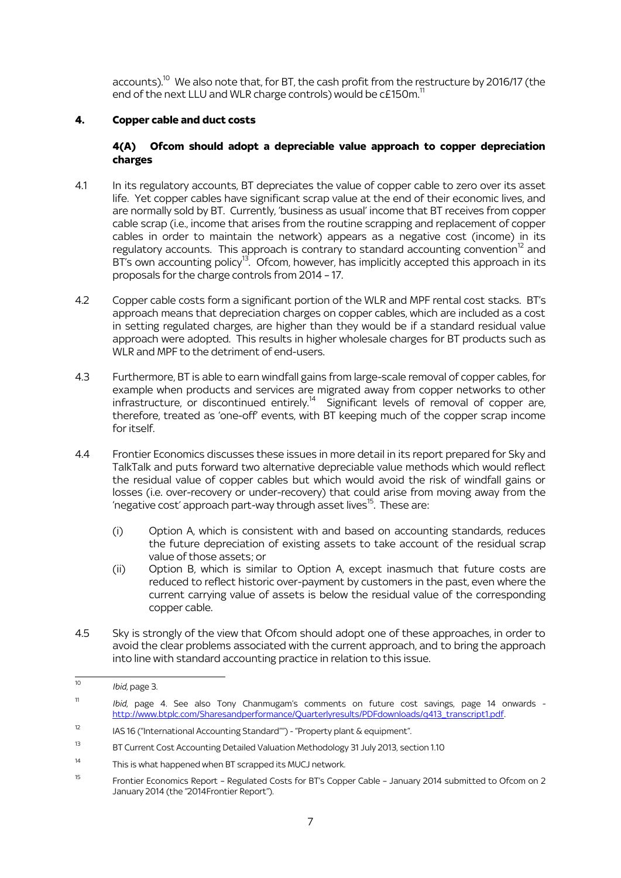accounts).<sup>10</sup> We also note that, for BT, the cash profit from the restructure by 2016/17 (the end of the next LLU and WLR charge controls) would be  $cE150m$ .<sup>11</sup>

### **4. Copper cable and duct costs**

#### **4(A) Ofcom should adopt a depreciable value approach to copper depreciation charges**

- 4.1 In its regulatory accounts, BT depreciates the value of copper cable to zero over its asset life. Yet copper cables have significant scrap value at the end of their economic lives, and are normally sold by BT. Currently, 'business as usual' income that BT receives from copper cable scrap (i.e., income that arises from the routine scrapping and replacement of copper cables in order to maintain the network) appears as a negative cost (income) in its regulatory accounts. This approach is contrary to standard accounting convention<sup>12</sup> and BT's own accounting policy<sup>13</sup>. Ofcom, however, has implicitly accepted this approach in its proposals for the charge controls from 2014 – 17.
- 4.2 Copper cable costs form a significant portion of the WLR and MPF rental cost stacks. BT's approach means that depreciation charges on copper cables, which are included as a cost in setting regulated charges, are higher than they would be if a standard residual value approach were adopted. This results in higher wholesale charges for BT products such as WLR and MPF to the detriment of end-users.
- 4.3 Furthermore, BT is able to earn windfall gains from large-scale removal of copper cables, for example when products and services are migrated away from copper networks to other infrastructure, or discontinued entirely.<sup>14</sup> Significant levels of removal of copper are, therefore, treated as 'one-off' events, with BT keeping much of the copper scrap income for itself.
- 4.4 Frontier Economics discusses these issues in more detail in its report prepared for Sky and TalkTalk and puts forward two alternative depreciable value methods which would reflect the residual value of copper cables but which would avoid the risk of windfall gains or losses (i.e. over-recovery or under-recovery) that could arise from moving away from the 'negative cost' approach part-way through asset lives $^{15}$ . These are:
	- (i) Option A, which is consistent with and based on accounting standards, reduces the future depreciation of existing assets to take account of the residual scrap value of those assets; or
	- (ii) Option B, which is similar to Option A, except inasmuch that future costs are reduced to reflect historic over-payment by customers in the past, even where the current carrying value of assets is below the residual value of the corresponding copper cable.
- 4.5 Sky is strongly of the view that Ofcom should adopt one of these approaches, in order to avoid the clear problems associated with the current approach, and to bring the approach into line with standard accounting practice in relation to this issue.

 $\overline{10}$ <sup>10</sup> *Ibid*, page 3.

<sup>11</sup> *Ibid*, page 4. See also Tony Chanmugam's comments on future cost savings, page 14 onwards [http://www.btplc.com/Sharesandperformance/Quarterlyresults/PDFdownloads/q413\\_transcript1.pdf.](http://www.btplc.com/Sharesandperformance/Quarterlyresults/PDFdownloads/q413_transcript1.pdf)

<sup>&</sup>lt;sup>12</sup> IAS 16 ("International Accounting Standard"") - "Property plant  $\&$  equipment".

<sup>&</sup>lt;sup>13</sup> BT Current Cost Accounting Detailed Valuation Methodology 31 July 2013, section 1.10

<sup>14</sup> This is what happened when BT scrapped its MUCJ network.

<sup>&</sup>lt;sup>15</sup> Frontier Economics Report – Regulated Costs for BT's Copper Cable – January 2014 submitted to Ofcom on 2 January 2014 (the "2014Frontier Report").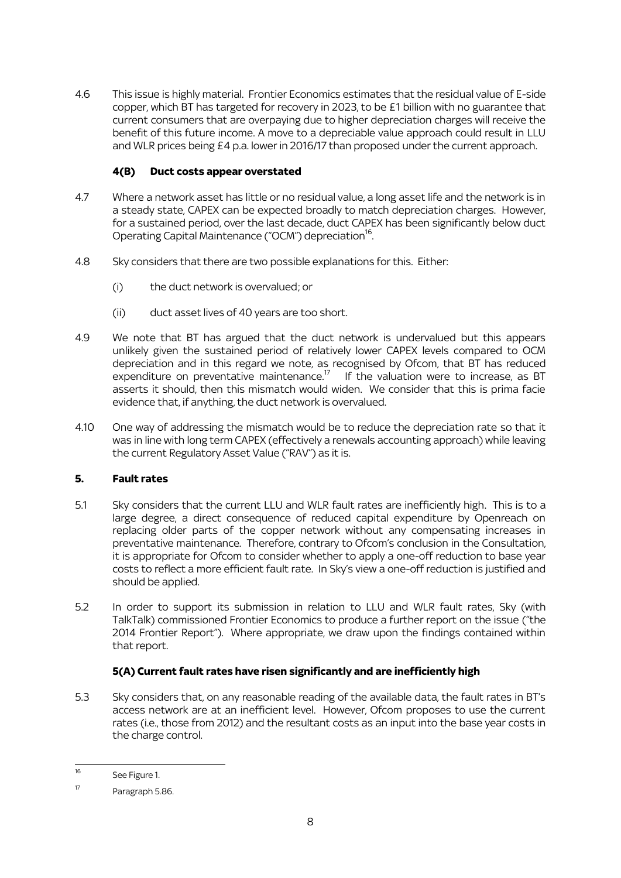4.6 This issue is highly material. Frontier Economics estimates that the residual value of E-side copper, which BT has targeted for recovery in 2023, to be £1 billion with no guarantee that current consumers that are overpaying due to higher depreciation charges will receive the benefit of this future income. A move to a depreciable value approach could result in LLU and WLR prices being £4 p.a. lower in 2016/17 than proposed under the current approach.

# **4(B) Duct costs appear overstated**

- 4.7 Where a network asset has little or no residual value, a long asset life and the network is in a steady state, CAPEX can be expected broadly to match depreciation charges. However, for a sustained period, over the last decade, duct CAPEX has been significantly below duct Operating Capital Maintenance ("OCM") depreciation<sup>16</sup>. .
- 4.8 Sky considers that there are two possible explanations for this. Either:
	- (i) the duct network is overvalued; or
	- (ii) duct asset lives of 40 years are too short.
- 4.9 We note that BT has argued that the duct network is undervalued but this appears unlikely given the sustained period of relatively lower CAPEX levels compared to OCM depreciation and in this regard we note, as recognised by Ofcom, that BT has reduced expenditure on preventative maintenance.<sup>17</sup> If the valuation were to increase, as BT asserts it should, then this mismatch would widen. We consider that this is prima facie evidence that, if anything, the duct network is overvalued.
- 4.10 One way of addressing the mismatch would be to reduce the depreciation rate so that it was in line with long term CAPEX (effectively a renewals accounting approach) while leaving the current Regulatory Asset Value ("RAV") as it is.

# **5. Fault rates**

- 5.1 Sky considers that the current LLU and WLR fault rates are inefficiently high. This is to a large degree, a direct consequence of reduced capital expenditure by Openreach on replacing older parts of the copper network without any compensating increases in preventative maintenance. Therefore, contrary to Ofcom's conclusion in the Consultation, it is appropriate for Ofcom to consider whether to apply a one-off reduction to base year costs to reflect a more efficient fault rate. In Sky's view a one-off reduction is justified and should be applied.
- 5.2 In order to support its submission in relation to LLU and WLR fault rates, Sky (with TalkTalk) commissioned Frontier Economics to produce a further report on the issue ("the 2014 Frontier Report"). Where appropriate, we draw upon the findings contained within that report.

# **5(A) Current fault rates have risen significantly and are inefficiently high**

5.3 Sky considers that, on any reasonable reading of the available data, the fault rates in BT's access network are at an inefficient level. However, Ofcom proposes to use the current rates (i.e., those from 2012) and the resultant costs as an input into the base year costs in the charge control.

 $\overline{16}$ See Figure 1.

<sup>17</sup> Paragraph 5.86.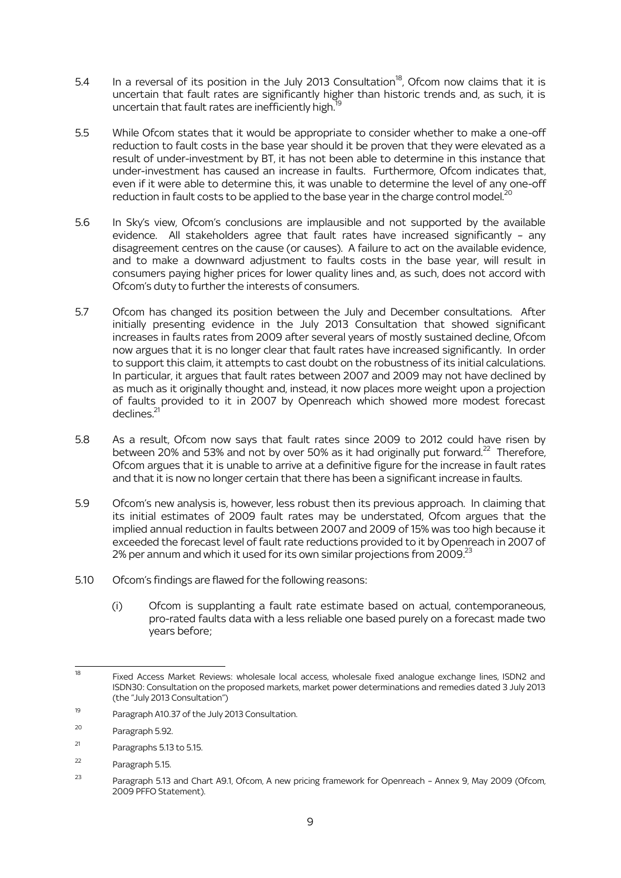- 5.4 In a reversal of its position in the July 2013 Consultation<sup>18</sup>, Ofcom now claims that it is uncertain that fault rates are significantly higher than historic trends and, as such, it is uncertain that fault rates are inefficiently high.<sup>1</sup>
- 5.5 While Ofcom states that it would be appropriate to consider whether to make a one-off reduction to fault costs in the base year should it be proven that they were elevated as a result of under-investment by BT, it has not been able to determine in this instance that under-investment has caused an increase in faults. Furthermore, Ofcom indicates that, even if it were able to determine this, it was unable to determine the level of any one-off reduction in fault costs to be applied to the base year in the charge control model. $^{20}$
- 5.6 In Sky's view, Ofcom's conclusions are implausible and not supported by the available evidence. All stakeholders agree that fault rates have increased significantly – any disagreement centres on the cause (or causes). A failure to act on the available evidence, and to make a downward adjustment to faults costs in the base year, will result in consumers paying higher prices for lower quality lines and, as such, does not accord with Ofcom's duty to further the interests of consumers.
- 5.7 Ofcom has changed its position between the July and December consultations. After initially presenting evidence in the July 2013 Consultation that showed significant increases in faults rates from 2009 after several years of mostly sustained decline, Ofcom now argues that it is no longer clear that fault rates have increased significantly. In order to support this claim, it attempts to cast doubt on the robustness of its initial calculations. In particular, it argues that fault rates between 2007 and 2009 may not have declined by as much as it originally thought and, instead, it now places more weight upon a projection of faults provided to it in 2007 by Openreach which showed more modest forecast  $derlines<sup>21</sup>$
- 5.8 As a result, Ofcom now says that fault rates since 2009 to 2012 could have risen by between 20% and 53% and not by over 50% as it had originally put forward.<sup>22</sup> Therefore, Ofcom argues that it is unable to arrive at a definitive figure for the increase in fault rates and that it is now no longer certain that there has been a significant increase in faults.
- 5.9 Ofcom's new analysis is, however, less robust then its previous approach. In claiming that its initial estimates of 2009 fault rates may be understated, Ofcom argues that the implied annual reduction in faults between 2007 and 2009 of 15% was too high because it exceeded the forecast level of fault rate reductions provided to it by Openreach in 2007 of 2% per annum and which it used for its own similar projections from 2009. $^{23}$
- 5.10 Ofcom's findings are flawed for the following reasons:
	- (i) Ofcom is supplanting a fault rate estimate based on actual, contemporaneous, pro-rated faults data with a less reliable one based purely on a forecast made two years before;

 $\overline{18}$ Fixed Access Market Reviews: wholesale local access, wholesale fixed analogue exchange lines, ISDN2 and ISDN30: Consultation on the proposed markets, market power determinations and remedies dated 3 July 2013 (the "July 2013 Consultation")

<sup>19</sup> Paragraph A10.37 of the July 2013 Consultation.

<sup>20</sup> Paragraph 5.92.

<sup>21</sup> Paragraphs 5.13 to 5.15.

<sup>22</sup> Paragraph 5.15.

<sup>&</sup>lt;sup>23</sup> Paragraph 5.13 and Chart A9.1, Ofcom, A new pricing framework for Openreach - Annex 9, May 2009 (Ofcom, 2009 PFFO Statement).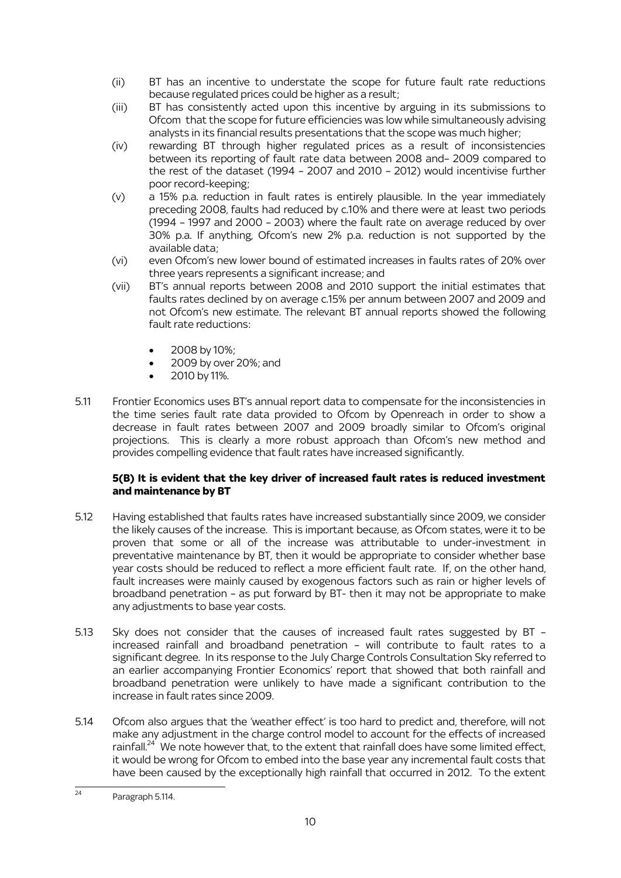- (ii) BT has an incentive to understate the scope for future fault rate reductions because regulated prices could be higher as a result;
- (iii) BT has consistently acted upon this incentive by arguing in its submissions to Ofcom that the scope for future efficiencies was low while simultaneously advising analysts in its financial results presentations that the scope was much higher;
- (iv) rewarding BT through higher regulated prices as a result of inconsistencies between its reporting of fault rate data between 2008 and– 2009 compared to the rest of the dataset (1994 – 2007 and 2010 – 2012) would incentivise further poor record-keeping;
- (v) a 15% p.a. reduction in fault rates is entirely plausible. In the year immediately preceding 2008, faults had reduced by c.10% and there were at least two periods (1994 – 1997 and 2000 – 2003) where the fault rate on average reduced by over 30% p.a. If anything, Ofcom's new 2% p.a. reduction is not supported by the available data;
- (vi) even Ofcom's new lower bound of estimated increases in faults rates of 20% over three years represents a significant increase; and
- (vii) BT's annual reports between 2008 and 2010 support the initial estimates that faults rates declined by on average c.15% per annum between 2007 and 2009 and not Ofcom's new estimate. The relevant BT annual reports showed the following fault rate reductions:
	- 2008 by 10%;
	- 2009 by over 20%; and
	- 2010 by 11%.
- 5.11 Frontier Economics uses BT's annual report data to compensate for the inconsistencies in the time series fault rate data provided to Ofcom by Openreach in order to show a decrease in fault rates between 2007 and 2009 broadly similar to Ofcom's original projections. This is clearly a more robust approach than Ofcom's new method and provides compelling evidence that fault rates have increased significantly.

# **5(B) It is evident that the key driver of increased fault rates is reduced investment and maintenance by BT**

- 5.12 Having established that faults rates have increased substantially since 2009, we consider the likely causes of the increase. This is important because, as Ofcom states, were it to be proven that some or all of the increase was attributable to under-investment in preventative maintenance by BT, then it would be appropriate to consider whether base year costs should be reduced to reflect a more efficient fault rate. If, on the other hand, fault increases were mainly caused by exogenous factors such as rain or higher levels of broadband penetration – as put forward by BT- then it may not be appropriate to make any adjustments to base year costs.
- 5.13 Sky does not consider that the causes of increased fault rates suggested by BT increased rainfall and broadband penetration – will contribute to fault rates to a significant degree. In its response to the July Charge Controls Consultation Sky referred to an earlier accompanying Frontier Economics' report that showed that both rainfall and broadband penetration were unlikely to have made a significant contribution to the increase in fault rates since 2009.
- 5.14 Ofcom also argues that the 'weather effect' is too hard to predict and, therefore, will not make any adjustment in the charge control model to account for the effects of increased rainfall. $24$  We note however that, to the extent that rainfall does have some limited effect, it would be wrong for Ofcom to embed into the base year any incremental fault costs that have been caused by the exceptionally high rainfall that occurred in 2012. To the extent

 $\overline{24}$ Paragraph 5.114.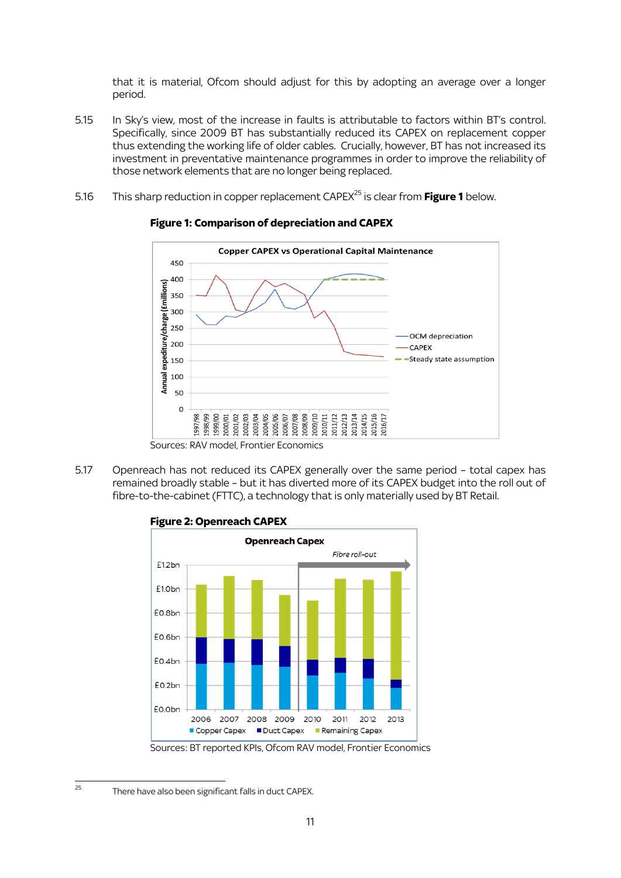that it is material, Ofcom should adjust for this by adopting an average over a longer period.

- 5.15 In Sky's view, most of the increase in faults is attributable to factors within BT's control. Specifically, since 2009 BT has substantially reduced its CAPEX on replacement copper thus extending the working life of older cables. Crucially, however, BT has not increased its investment in preventative maintenance programmes in order to improve the reliability of those network elements that are no longer being replaced.
- 5.16 This sharp reduction in copper replacement CAPEX<sup>25</sup> is clear from **Figure 1** below.



### **Figure 1: Comparison of depreciation and CAPEX**

5.17 Openreach has not reduced its CAPEX generally over the same period – total capex has remained broadly stable – but it has diverted more of its CAPEX budget into the roll out of fibre-to-the-cabinet (FTTC), a technology that is only materially used by BT Retail.



# **Figure 2: Openreach CAPEX**

.

Sources: BT reported KPIs, Ofcom RAV model, Frontier Economics

 $\overline{a}$ <sup>25</sup> There have also been significant falls in duct CAPEX.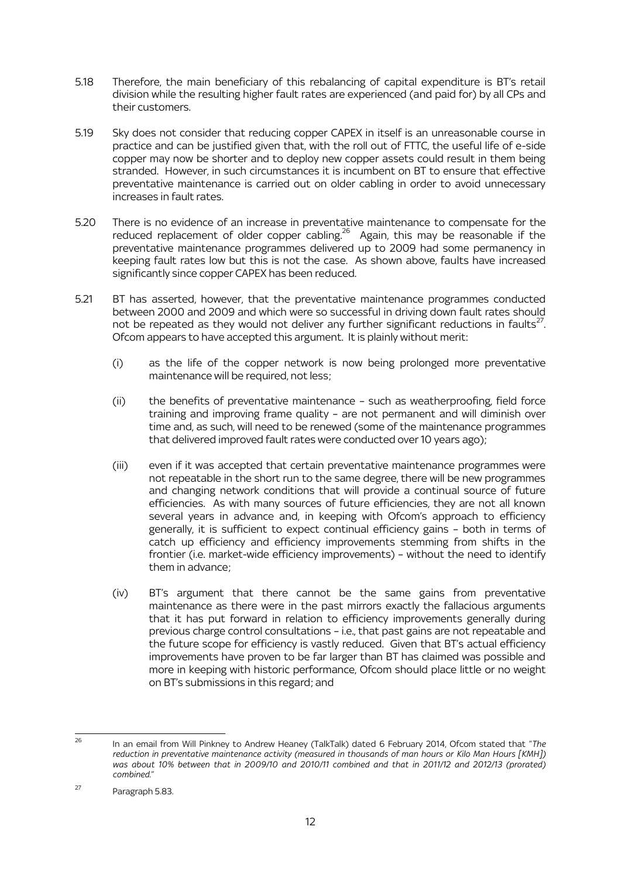- 5.18 Therefore, the main beneficiary of this rebalancing of capital expenditure is BT's retail division while the resulting higher fault rates are experienced (and paid for) by all CPs and their customers.
- 5.19 Sky does not consider that reducing copper CAPEX in itself is an unreasonable course in practice and can be justified given that, with the roll out of FTTC, the useful life of e-side copper may now be shorter and to deploy new copper assets could result in them being stranded. However, in such circumstances it is incumbent on BT to ensure that effective preventative maintenance is carried out on older cabling in order to avoid unnecessary increases in fault rates.
- 5.20 There is no evidence of an increase in preventative maintenance to compensate for the reduced replacement of older copper cabling.<sup>26</sup> Again, this may be reasonable if the preventative maintenance programmes delivered up to 2009 had some permanency in keeping fault rates low but this is not the case. As shown above, faults have increased significantly since copper CAPEX has been reduced.
- 5.21 BT has asserted, however, that the preventative maintenance programmes conducted between 2000 and 2009 and which were so successful in driving down fault rates should not be repeated as they would not deliver any further significant reductions in faults $^{27}$ . Ofcom appears to have accepted this argument. It is plainly without merit:
	- (i) as the life of the copper network is now being prolonged more preventative maintenance will be required, not less;
	- (ii) the benefits of preventative maintenance such as weatherproofing, field force training and improving frame quality – are not permanent and will diminish over time and, as such, will need to be renewed (some of the maintenance programmes that delivered improved fault rates were conducted over 10 years ago);
	- (iii) even if it was accepted that certain preventative maintenance programmes were not repeatable in the short run to the same degree, there will be new programmes and changing network conditions that will provide a continual source of future efficiencies. As with many sources of future efficiencies, they are not all known several years in advance and, in keeping with Ofcom's approach to efficiency generally, it is sufficient to expect continual efficiency gains – both in terms of catch up efficiency and efficiency improvements stemming from shifts in the frontier (i.e. market-wide efficiency improvements) – without the need to identify them in advance;
	- (iv) BT's argument that there cannot be the same gains from preventative maintenance as there were in the past mirrors exactly the fallacious arguments that it has put forward in relation to efficiency improvements generally during previous charge control consultations – i.e., that past gains are not repeatable and the future scope for efficiency is vastly reduced. Given that BT's actual efficiency improvements have proven to be far larger than BT has claimed was possible and more in keeping with historic performance, Ofcom should place little or no weight on BT's submissions in this regard; and

 $\overline{26}$ <sup>26</sup> In an email from Will Pinkney to Andrew Heaney (TalkTalk) dated 6 February 2014, Ofcom stated that "*The reduction in preventative maintenance activity (measured in thousands of man hours or Kilo Man Hours [KMH])*  was about 10% between that in 2009/10 and 2010/11 combined and that in 2011/12 and 2012/13 (prorated) *combined.*"

<sup>27</sup> Paragraph 5.83.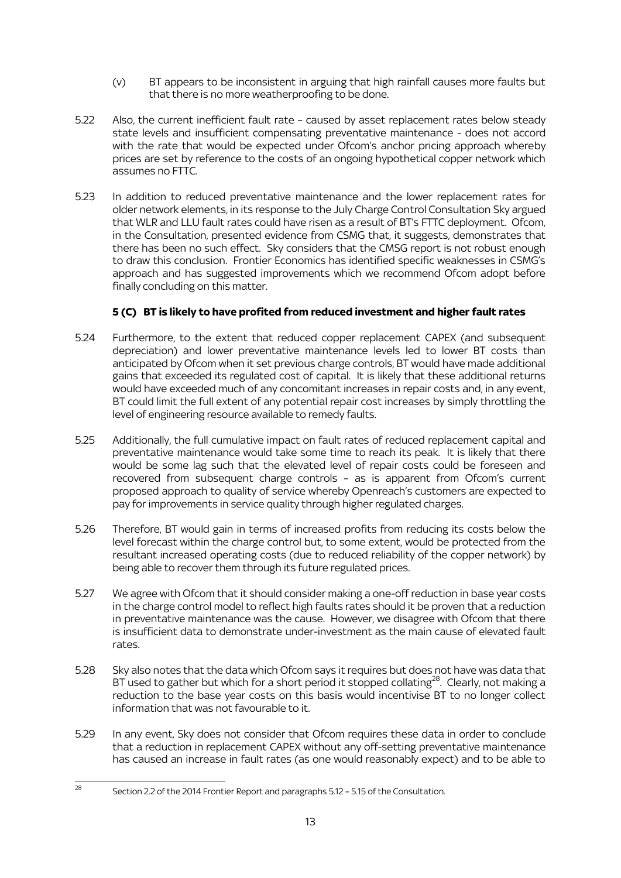- (v) BT appears to be inconsistent in arguing that high rainfall causes more faults but that there is no more weatherproofing to be done.
- 5.22 Also, the current inefficient fault rate caused by asset replacement rates below steady state levels and insufficient compensating preventative maintenance - does not accord with the rate that would be expected under Ofcom's anchor pricing approach whereby prices are set by reference to the costs of an ongoing hypothetical copper network which assumes no FTTC.
- 5.23 In addition to reduced preventative maintenance and the lower replacement rates for older network elements, in its response to the July Charge Control Consultation Sky argued that WLR and LLU fault rates could have risen as a result of BT's FTTC deployment. Ofcom, in the Consultation, presented evidence from CSMG that, it suggests, demonstrates that there has been no such effect. Sky considers that the CMSG report is not robust enough to draw this conclusion. Frontier Economics has identified specific weaknesses in CSMG's approach and has suggested improvements which we recommend Ofcom adopt before finally concluding on this matter.

# **5 (C) BT is likely to have profited from reduced investment and higher fault rates**

- 5.24 Furthermore, to the extent that reduced copper replacement CAPEX (and subsequent depreciation) and lower preventative maintenance levels led to lower BT costs than anticipated by Ofcom when it set previous charge controls, BT would have made additional gains that exceeded its regulated cost of capital. It is likely that these additional returns would have exceeded much of any concomitant increases in repair costs and, in any event, BT could limit the full extent of any potential repair cost increases by simply throttling the level of engineering resource available to remedy faults.
- 5.25 Additionally, the full cumulative impact on fault rates of reduced replacement capital and preventative maintenance would take some time to reach its peak. It is likely that there would be some lag such that the elevated level of repair costs could be foreseen and recovered from subsequent charge controls – as is apparent from Ofcom's current proposed approach to quality of service whereby Openreach's customers are expected to pay for improvements in service quality through higher regulated charges.
- 5.26 Therefore, BT would gain in terms of increased profits from reducing its costs below the level forecast within the charge control but, to some extent, would be protected from the resultant increased operating costs (due to reduced reliability of the copper network) by being able to recover them through its future regulated prices.
- 5.27 We agree with Ofcom that it should consider making a one-off reduction in base year costs in the charge control model to reflect high faults rates should it be proven that a reduction in preventative maintenance was the cause. However, we disagree with Ofcom that there is insufficient data to demonstrate under-investment as the main cause of elevated fault rates.
- 5.28 Sky also notes that the data which Ofcom says it requires but does not have was data that BT used to gather but which for a short period it stopped collating<sup>28</sup>. Clearly, not making a reduction to the base year costs on this basis would incentivise BT to no longer collect information that was not favourable to it.
- 5.29 In any event, Sky does not consider that Ofcom requires these data in order to conclude that a reduction in replacement CAPEX without any off-setting preventative maintenance has caused an increase in fault rates (as one would reasonably expect) and to be able to

<sup>.</sup> <sup>28</sup> Section 2.2 of the 2014 Frontier Report and paragraphs 5.12 – 5.15 of the Consultation.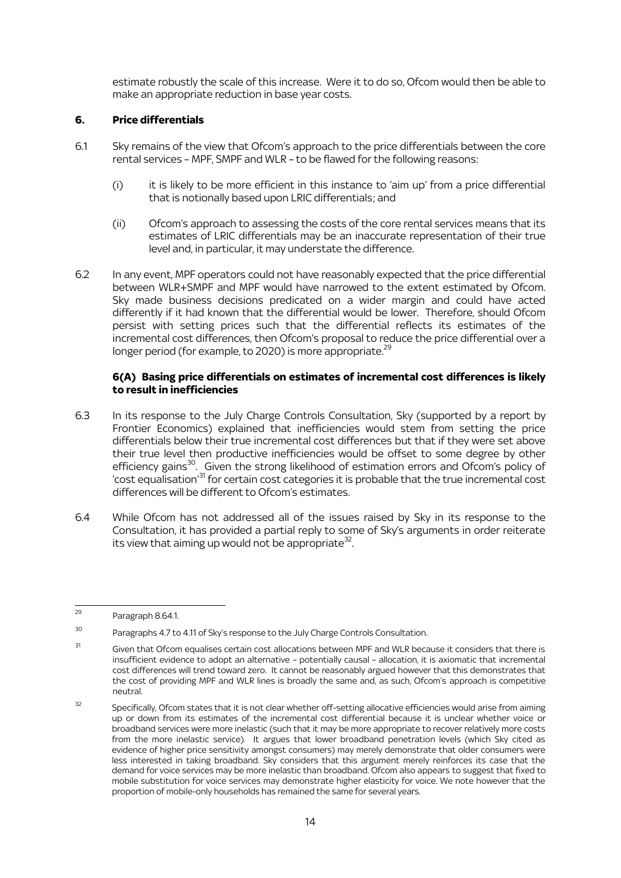estimate robustly the scale of this increase. Were it to do so, Ofcom would then be able to make an appropriate reduction in base year costs.

### **6. Price differentials**

- 6.1 Sky remains of the view that Ofcom's approach to the price differentials between the core rental services – MPF, SMPF and WLR – to be flawed for the following reasons:
	- (i) it is likely to be more efficient in this instance to 'aim up' from a price differential that is notionally based upon LRIC differentials; and
	- (ii) Ofcom's approach to assessing the costs of the core rental services means that its estimates of LRIC differentials may be an inaccurate representation of their true level and, in particular, it may understate the difference.
- 6.2 In any event, MPF operators could not have reasonably expected that the price differential between WLR+SMPF and MPF would have narrowed to the extent estimated by Ofcom. Sky made business decisions predicated on a wider margin and could have acted differently if it had known that the differential would be lower. Therefore, should Ofcom persist with setting prices such that the differential reflects its estimates of the incremental cost differences, then Ofcom's proposal to reduce the price differential over a longer period (for example, to 2020) is more appropriate.<sup>29</sup>

### **6(A) Basing price differentials on estimates of incremental cost differences is likely to result in inefficiencies**

- 6.3 In its response to the July Charge Controls Consultation, Sky (supported by a report by Frontier Economics) explained that inefficiencies would stem from setting the price differentials below their true incremental cost differences but that if they were set above their true level then productive inefficiencies would be offset to some degree by other efficiency gains<sup>30</sup>. Given the strong likelihood of estimation errors and Ofcom's policy of 'cost equalisation'<sup>31</sup> for certain cost categories it is probable that the true incremental cost differences will be different to Ofcom's estimates
- 6.4 While Ofcom has not addressed all of the issues raised by Sky in its response to the Consultation, it has provided a partial reply to some of Sky's arguments in order reiterate its view that aiming up would not be appropriate  $32$ . .

 $\overline{a}$ <sup>29</sup> Paragraph 8.64.1.

<sup>30</sup> Paragraphs 4.7 to 4.11 of Sky's response to the July Charge Controls Consultation.

<sup>31</sup> Given that Ofcom equalises certain cost allocations between MPF and WLR because it considers that there is insufficient evidence to adopt an alternative – potentially causal – allocation, it is axiomatic that incremental cost differences will trend toward zero. It cannot be reasonably argued however that this demonstrates that the cost of providing MPF and WLR lines is broadly the same and, as such, Ofcom's approach is competitive neutral.

<sup>&</sup>lt;sup>32</sup> Specifically, Ofcom states that it is not clear whether off-setting allocative efficiencies would arise from aiming up or down from its estimates of the incremental cost differential because it is unclear whether voice or broadband services were more inelastic (such that it may be more appropriate to recover relatively more costs from the more inelastic service). It argues that lower broadband penetration levels (which Sky cited as evidence of higher price sensitivity amongst consumers) may merely demonstrate that older consumers were less interested in taking broadband. Sky considers that this argument merely reinforces its case that the demand for voice services may be more inelastic than broadband. Ofcom also appears to suggest that fixed to mobile substitution for voice services may demonstrate higher elasticity for voice. We note however that the proportion of mobile-only households has remained the same for several years.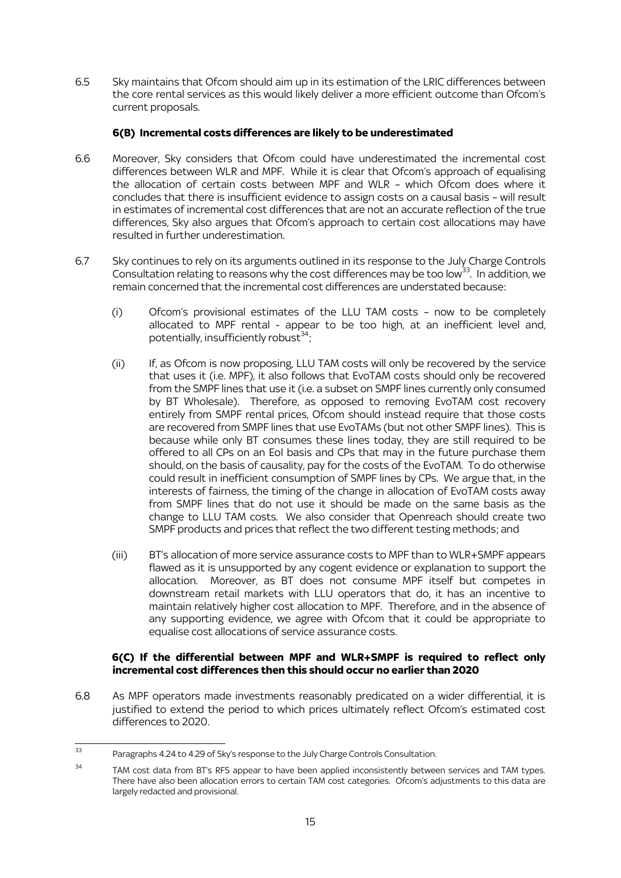6.5 Sky maintains that Ofcom should aim up in its estimation of the LRIC differences between the core rental services as this would likely deliver a more efficient outcome than Ofcom's current proposals.

### **6(B) Incremental costs differences are likely to be underestimated**

- 6.6 Moreover, Sky considers that Ofcom could have underestimated the incremental cost differences between WLR and MPF. While it is clear that Ofcom's approach of equalising the allocation of certain costs between MPF and WLR – which Ofcom does where it concludes that there is insufficient evidence to assign costs on a causal basis – will result in estimates of incremental cost differences that are not an accurate reflection of the true differences, Sky also argues that Ofcom's approach to certain cost allocations may have resulted in further underestimation.
- 6.7 Sky continues to rely on its arguments outlined in its response to the July Charge Controls Consultation relating to reasons why the cost differences may be too low<sup>33</sup>. In addition, we remain concerned that the incremental cost differences are understated because:
	- (i) Ofcom's provisional estimates of the LLU TAM costs now to be completely allocated to MPF rental - appear to be too high, at an inefficient level and, potentially, insufficiently robust<sup>34</sup>;
	- (ii) If, as Ofcom is now proposing, LLU TAM costs will only be recovered by the service that uses it (i.e. MPF), it also follows that EvoTAM costs should only be recovered from the SMPF lines that use it (i.e. a subset on SMPF lines currently only consumed by BT Wholesale). Therefore, as opposed to removing EvoTAM cost recovery entirely from SMPF rental prices, Ofcom should instead require that those costs are recovered from SMPF lines that use EvoTAMs (but not other SMPF lines). This is because while only BT consumes these lines today, they are still required to be offered to all CPs on an EoI basis and CPs that may in the future purchase them should, on the basis of causality, pay for the costs of the EvoTAM. To do otherwise could result in inefficient consumption of SMPF lines by CPs. We argue that, in the interests of fairness, the timing of the change in allocation of EvoTAM costs away from SMPF lines that do not use it should be made on the same basis as the change to LLU TAM costs. We also consider that Openreach should create two SMPF products and prices that reflect the two different testing methods; and
	- (iii) BT's allocation of more service assurance costs to MPF than to WLR+SMPF appears flawed as it is unsupported by any cogent evidence or explanation to support the allocation. Moreover, as BT does not consume MPF itself but competes in downstream retail markets with LLU operators that do, it has an incentive to maintain relatively higher cost allocation to MPF. Therefore, and in the absence of any supporting evidence, we agree with Ofcom that it could be appropriate to equalise cost allocations of service assurance costs.

#### **6(C) If the differential between MPF and WLR+SMPF is required to reflect only incremental cost differences then this should occur no earlier than 2020**

6.8 As MPF operators made investments reasonably predicated on a wider differential, it is justified to extend the period to which prices ultimately reflect Ofcom's estimated cost differences to 2020.

<sup>.</sup> <sup>33</sup> Paragraphs 4.24 to 4.29 of Sky's response to the July Charge Controls Consultation.

<sup>&</sup>lt;sup>34</sup> TAM cost data from BT's RFS appear to have been applied inconsistently between services and TAM types. There have also been allocation errors to certain TAM cost categories. Ofcom's adjustments to this data are largely redacted and provisional.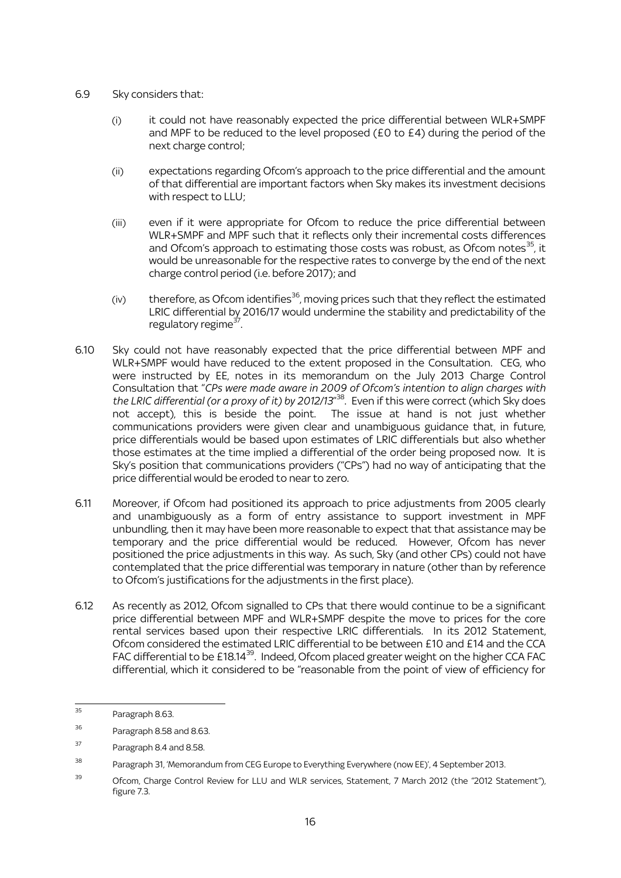- 6.9 Sky considers that:
	- (i) it could not have reasonably expected the price differential between WLR+SMPF and MPF to be reduced to the level proposed ( $E0$  to  $E4$ ) during the period of the next charge control;
	- (ii) expectations regarding Ofcom's approach to the price differential and the amount of that differential are important factors when Sky makes its investment decisions with respect to LLU;
	- (iii) even if it were appropriate for Ofcom to reduce the price differential between WLR+SMPF and MPF such that it reflects only their incremental costs differences and Ofcom's approach to estimating those costs was robust, as Ofcom notes $^{35}$ , it would be unreasonable for the respective rates to converge by the end of the next charge control period (i.e. before 2017); and
	- $(iv)$  therefore, as Ofcom identifies<sup>36</sup>, moving prices such that they reflect the estimated LRIC differential by 2016/17 would undermine the stability and predictability of the regulatory regime<sup>37</sup>.
- 6.10 Sky could not have reasonably expected that the price differential between MPF and WLR+SMPF would have reduced to the extent proposed in the Consultation. CEG, who were instructed by EE, notes in its memorandum on the July 2013 Charge Control Consultation that "*CPs were made aware in 2009 of Ofcom's intention to align charges with the LRIC differential (or a proxy of it) by 2012/13*" <sup>38</sup>. Even if this were correct (which Sky does not accept), this is beside the point. The issue at hand is not just whether communications providers were given clear and unambiguous guidance that, in future, price differentials would be based upon estimates of LRIC differentials but also whether those estimates at the time implied a differential of the order being proposed now. It is Sky's position that communications providers ("CPs") had no way of anticipating that the price differential would be eroded to near to zero.
- 6.11 Moreover, if Ofcom had positioned its approach to price adjustments from 2005 clearly and unambiguously as a form of entry assistance to support investment in MPF unbundling, then it may have been more reasonable to expect that that assistance may be temporary and the price differential would be reduced. However, Ofcom has never positioned the price adjustments in this way. As such, Sky (and other CPs) could not have contemplated that the price differential was temporary in nature (other than by reference to Ofcom's justifications for the adjustments in the first place).
- 6.12 As recently as 2012, Ofcom signalled to CPs that there would continue to be a significant price differential between MPF and WLR+SMPF despite the move to prices for the core rental services based upon their respective LRIC differentials. In its 2012 Statement, Ofcom considered the estimated LRIC differential to be between £10 and £14 and the CCA FAC differential to be £18.14 $^{39}$ . Indeed, Ofcom placed greater weight on the higher CCA FAC differential, which it considered to be "reasonable from the point of view of efficiency for

<sup>35</sup> Paragraph 8.63.

<sup>36</sup> Paragraph 8.58 and 8.63.

<sup>37</sup> Paragraph 8.4 and 8.58.

<sup>&</sup>lt;sup>38</sup> Paragraph 31, 'Memorandum from CEG Europe to Everything Everywhere (now EE)', 4 September 2013.

<sup>&</sup>lt;sup>39</sup> Ofcom, Charge Control Review for LLU and WLR services, Statement, 7 March 2012 (the "2012 Statement"), figure 7.3.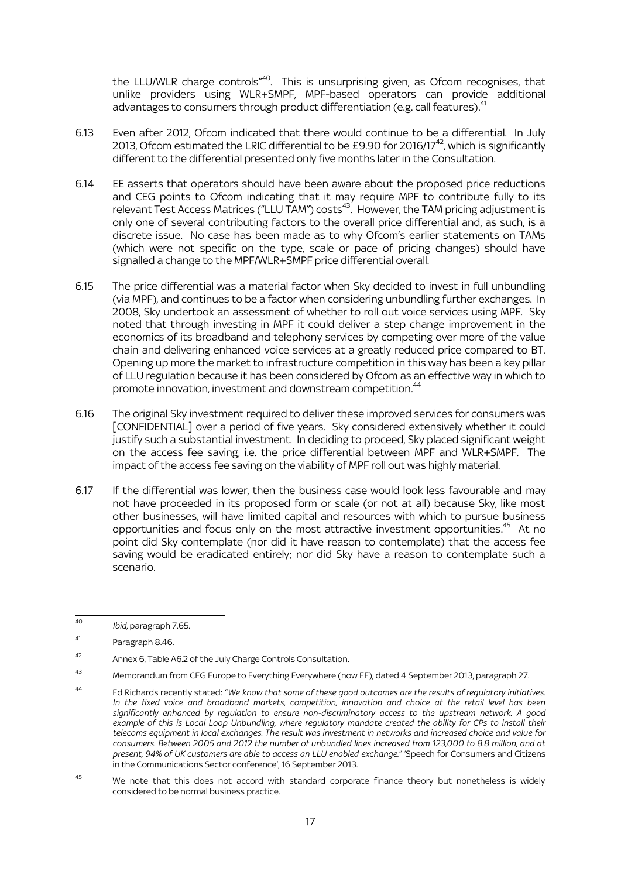the LLU/WLR charge controls"<sup>40</sup>. This is unsurprising given, as Ofcom recognises, that unlike providers using WLR+SMPF, MPF-based operators can provide additional advantages to consumers through product differentiation (e.g. call features).<sup>41</sup>

- 6.13 Even after 2012, Ofcom indicated that there would continue to be a differential. In July 2013, Ofcom estimated the LRIC differential to be £9.90 for 2016/17 $^{42}$ , which is significantly different to the differential presented only five months later in the Consultation.
- 6.14 EE asserts that operators should have been aware about the proposed price reductions and CEG points to Ofcom indicating that it may require MPF to contribute fully to its relevant Test Access Matrices ("LLU TAM") costs<sup>43</sup>. However, the TAM pricing adjustment is only one of several contributing factors to the overall price differential and, as such, is a discrete issue. No case has been made as to why Ofcom's earlier statements on TAMs (which were not specific on the type, scale or pace of pricing changes) should have signalled a change to the MPF/WLR+SMPF price differential overall.
- 6.15 The price differential was a material factor when Sky decided to invest in full unbundling (via MPF), and continues to be a factor when considering unbundling further exchanges. In 2008, Sky undertook an assessment of whether to roll out voice services using MPF. Sky noted that through investing in MPF it could deliver a step change improvement in the economics of its broadband and telephony services by competing over more of the value chain and delivering enhanced voice services at a greatly reduced price compared to BT. Opening up more the market to infrastructure competition in this way has been a key pillar of LLU regulation because it has been considered by Ofcom as an effective way in which to promote innovation, investment and downstream competition.<sup>44</sup>
- 6.16 The original Sky investment required to deliver these improved services for consumers was [CONFIDENTIAL] over a period of five years. Sky considered extensively whether it could justify such a substantial investment. In deciding to proceed, Sky placed significant weight on the access fee saving, i.e. the price differential between MPF and WLR+SMPF. The impact of the access fee saving on the viability of MPF roll out was highly material.
- 6.17 If the differential was lower, then the business case would look less favourable and may not have proceeded in its proposed form or scale (or not at all) because Sky, like most other businesses, will have limited capital and resources with which to pursue business opportunities and focus only on the most attractive investment opportunities.<sup>45</sup> At no point did Sky contemplate (nor did it have reason to contemplate) that the access fee saving would be eradicated entirely; nor did Sky have a reason to contemplate such a scenario.

 $\overline{40}$ <sup>40</sup> *Ibid,* paragraph 7.65.

<sup>41</sup> Paragraph 8.46.

<sup>42</sup> Annex 6, Table A6.2 of the July Charge Controls Consultation.

<sup>43</sup> Memorandum from CEG Europe to Everything Everywhere (now EE), dated 4 September 2013, paragraph 27.

<sup>44</sup> Ed Richards recently stated: "*We know that some of these good outcomes are the results of regulatory initiatives. In the fixed voice and broadband markets, competition, innovation and choice at the retail level has been significantly enhanced by regulation to ensure non-discriminatory access to the upstream network. A good example of this is Local Loop Unbundling, where regulatory mandate created the ability for CPs to install their telecoms equipment in local exchanges. The result was investment in networks and increased choice and value for consumers. Between 2005 and 2012 the number of unbundled lines increased from 123,000 to 8.8 million, and at present, 94% of UK customers are able to access an LLU enabled exchange.*" 'Speech for Consumers and Citizens in the Communications Sector conference', 16 September 2013.

<sup>&</sup>lt;sup>45</sup> We note that this does not accord with standard corporate finance theory but nonetheless is widely considered to be normal business practice.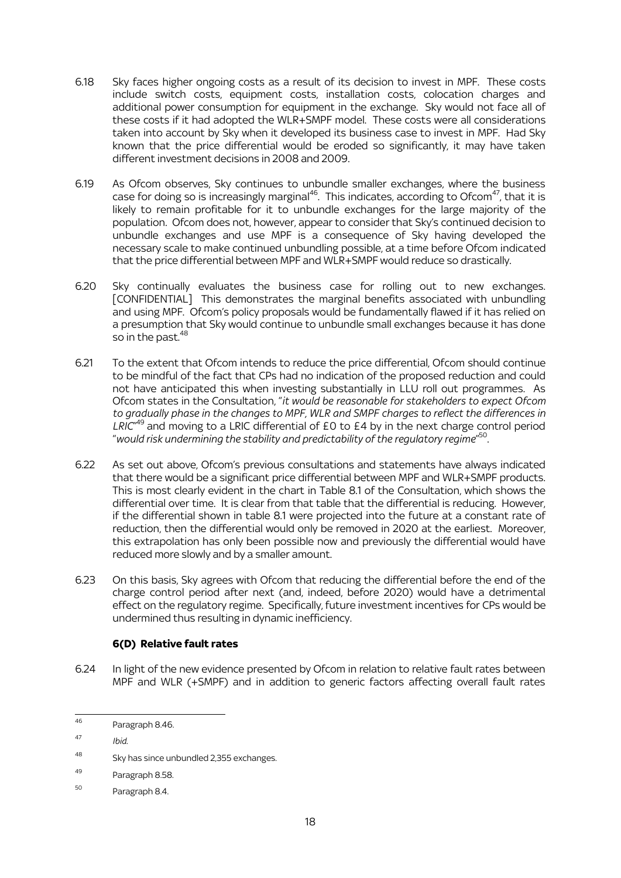- 6.18 Sky faces higher ongoing costs as a result of its decision to invest in MPF. These costs include switch costs, equipment costs, installation costs, colocation charges and additional power consumption for equipment in the exchange. Sky would not face all of these costs if it had adopted the WLR+SMPF model. These costs were all considerations taken into account by Sky when it developed its business case to invest in MPF. Had Sky known that the price differential would be eroded so significantly, it may have taken different investment decisions in 2008 and 2009.
- 6.19 As Ofcom observes, Sky continues to unbundle smaller exchanges, where the business case for doing so is increasingly marginal<sup>46</sup>. This indicates, according to Ofcom<sup>47</sup>, that it is likely to remain profitable for it to unbundle exchanges for the large majority of the population. Ofcom does not, however, appear to consider that Sky's continued decision to unbundle exchanges and use MPF is a consequence of Sky having developed the necessary scale to make continued unbundling possible, at a time before Ofcom indicated that the price differential between MPF and WLR+SMPF would reduce so drastically.
- 6.20 Sky continually evaluates the business case for rolling out to new exchanges. [CONFIDENTIAL] This demonstrates the marginal benefits associated with unbundling and using MPF. Ofcom's policy proposals would be fundamentally flawed if it has relied on a presumption that Sky would continue to unbundle small exchanges because it has done so in the past. $48$
- 6.21 To the extent that Ofcom intends to reduce the price differential, Ofcom should continue to be mindful of the fact that CPs had no indication of the proposed reduction and could not have anticipated this when investing substantially in LLU roll out programmes. As Ofcom states in the Consultation, "*it would be reasonable for stakeholders to expect Ofcom to gradually phase in the changes to MPF, WLR and SMPF charges to reflect the differences in*  LRIC<sup>"49</sup> and moving to a LRIC differential of £0 to £4 by in the next charge control period "*would risk undermining the stability and predictability of the regulatory regime*" 50 .
- 6.22 As set out above, Ofcom's previous consultations and statements have always indicated that there would be a significant price differential between MPF and WLR+SMPF products. This is most clearly evident in the chart in Table 8.1 of the Consultation, which shows the differential over time. It is clear from that table that the differential is reducing. However, if the differential shown in table 8.1 were projected into the future at a constant rate of reduction, then the differential would only be removed in 2020 at the earliest. Moreover, this extrapolation has only been possible now and previously the differential would have reduced more slowly and by a smaller amount.
- 6.23 On this basis, Sky agrees with Ofcom that reducing the differential before the end of the charge control period after next (and, indeed, before 2020) would have a detrimental effect on the regulatory regime. Specifically, future investment incentives for CPs would be undermined thus resulting in dynamic inefficiency.

# **6(D) Relative fault rates**

6.24 In light of the new evidence presented by Ofcom in relation to relative fault rates between MPF and WLR (+SMPF) and in addition to generic factors affecting overall fault rates

<sup>46</sup> Paragraph 8.46.

<sup>47</sup> *Ibid*.

<sup>48</sup> Sky has since unbundled 2,355 exchanges.

<sup>49</sup> Paragraph 8.58.

<sup>50</sup> Paragraph 8.4.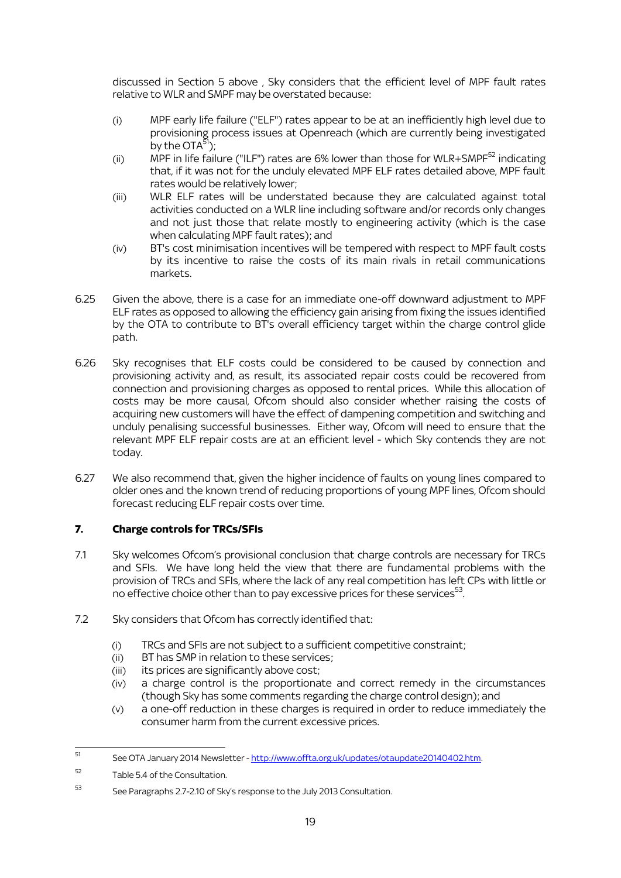discussed in Section 5 above , Sky considers that the efficient level of MPF fault rates relative to WLR and SMPF may be overstated because:

- (i) MPF early life failure ("ELF") rates appear to be at an inefficiently high level due to provisioning process issues at Openreach (which are currently being investigated by the  $OTA^{51}$ ):
- (ii) MPF in life failure ("ILF") rates are 6% lower than those for WLR+SMPF $^{52}$  indicating that, if it was not for the unduly elevated MPF ELF rates detailed above, MPF fault rates would be relatively lower;
- (iii) WLR ELF rates will be understated because they are calculated against total activities conducted on a WLR line including software and/or records only changes and not just those that relate mostly to engineering activity (which is the case when calculating MPF fault rates); and
- (iv) BT's cost minimisation incentives will be tempered with respect to MPF fault costs by its incentive to raise the costs of its main rivals in retail communications markets.
- 6.25 Given the above, there is a case for an immediate one-off downward adjustment to MPF ELF rates as opposed to allowing the efficiency gain arising from fixing the issues identified by the OTA to contribute to BT's overall efficiency target within the charge control glide path.
- 6.26 Sky recognises that ELF costs could be considered to be caused by connection and provisioning activity and, as result, its associated repair costs could be recovered from connection and provisioning charges as opposed to rental prices. While this allocation of costs may be more causal, Ofcom should also consider whether raising the costs of acquiring new customers will have the effect of dampening competition and switching and unduly penalising successful businesses. Either way, Ofcom will need to ensure that the relevant MPF ELF repair costs are at an efficient level - which Sky contends they are not today.
- 6.27 We also recommend that, given the higher incidence of faults on young lines compared to older ones and the known trend of reducing proportions of young MPF lines, Ofcom should forecast reducing ELF repair costs over time.

# **7. Charge controls for TRCs/SFIs**

- 7.1 Sky welcomes Ofcom's provisional conclusion that charge controls are necessary for TRCs and SFIs. We have long held the view that there are fundamental problems with the provision of TRCs and SFIs, where the lack of any real competition has left CPs with little or no effective choice other than to pay excessive prices for these services $^{\rm 53}.$
- 7.2 Sky considers that Ofcom has correctly identified that:
	- (i) TRCs and SFIs are not subject to a sufficient competitive constraint;
	- (ii) BT has SMP in relation to these services;
	- (iii) its prices are significantly above cost;
	- (iv) a charge control is the proportionate and correct remedy in the circumstances (though Sky has some comments regarding the charge control design); and
	- (v) a one-off reduction in these charges is required in order to reduce immediately the consumer harm from the current excessive prices.

<sup>51</sup> See OTA January 2014 Newsletter - [http://www.offta.org.uk/updates/otaupdate20140402.htm.](http://www.offta.org.uk/updates/otaupdate20140402.htm)

<sup>52</sup> Table 5.4 of the Consultation.

<sup>53</sup> See Paragraphs 2.7-2.10 of Sky's response to the July 2013 Consultation.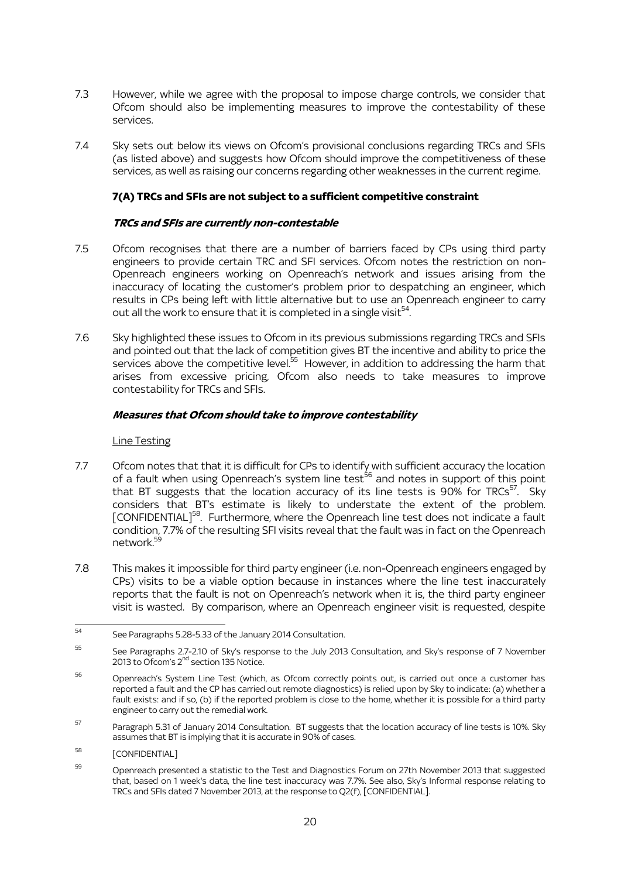- 7.3 However, while we agree with the proposal to impose charge controls, we consider that Ofcom should also be implementing measures to improve the contestability of these services.
- 7.4 Sky sets out below its views on Ofcom's provisional conclusions regarding TRCs and SFIs (as listed above) and suggests how Ofcom should improve the competitiveness of these services, as well as raising our concerns regarding other weaknesses in the current regime.

# **7(A) TRCs and SFIs are not subject to a sufficient competitive constraint**

#### **TRCs and SFIs are currently non-contestable**

- 7.5 Ofcom recognises that there are a number of barriers faced by CPs using third party engineers to provide certain TRC and SFI services. Ofcom notes the restriction on non-Openreach engineers working on Openreach's network and issues arising from the inaccuracy of locating the customer's problem prior to despatching an engineer, which results in CPs being left with little alternative but to use an Openreach engineer to carry out all the work to ensure that it is completed in a single visit $54$ .
- 7.6 Sky highlighted these issues to Ofcom in its previous submissions regarding TRCs and SFIs and pointed out that the lack of competition gives BT the incentive and ability to price the services above the competitive level.<sup>55</sup> However, in addition to addressing the harm that arises from excessive pricing, Ofcom also needs to take measures to improve contestability for TRCs and SFIs.

### **Measures that Ofcom should take to improve contestability**

#### Line Testing

- 7.7 Ofcom notes that that it is difficult for CPs to identify with sufficient accuracy the location of a fault when using Openreach's system line test<sup>56</sup> and notes in support of this point that BT suggests that the location accuracy of its line tests is 90% for TRCs<sup>57</sup>. Sky considers that BT's estimate is likely to understate the extent of the problem. [CONFIDENTIAL]<sup>58</sup>. Furthermore, where the Openreach line test does not indicate a fault condition, 7.7% of the resulting SFI visits reveal that the fault was in fact on the Openreach network. 59
- 7.8 This makes it impossible for third party engineer (i.e. non-Openreach engineers engaged by CPs) visits to be a viable option because in instances where the line test inaccurately reports that the fault is not on Openreach's network when it is, the third party engineer visit is wasted. By comparison, where an Openreach engineer visit is requested, despite

- <sup>58</sup> [CONFIDENTIAL]
- 59 Openreach presented a statistic to the Test and Diagnostics Forum on 27th November 2013 that suggested that, based on 1 week's data, the line test inaccuracy was 7.7%. See also, Sky's Informal response relating to TRCs and SFIs dated 7 November 2013, at the response to Q2(f), [CONFIDENTIAL].

 $54$ See Paragraphs 5.28-5.33 of the January 2014 Consultation.

<sup>55</sup> See Paragraphs 2.7-2.10 of Sky's response to the July 2013 Consultation, and Sky's response of 7 November 2013 to Ofcom's 2<sup>nd</sup> section 135 Notice.

<sup>56</sup> Openreach's System Line Test (which, as Ofcom correctly points out, is carried out once a customer has reported a fault and the CP has carried out remote diagnostics) is relied upon by Sky to indicate: (a) whether a fault exists: and if so, (b) if the reported problem is close to the home, whether it is possible for a third party engineer to carry out the remedial work.

<sup>57</sup> Paragraph 5.31 of January 2014 Consultation. BT suggests that the location accuracy of line tests is 10%. Sky assumes that BT is implying that it is accurate in 90% of cases.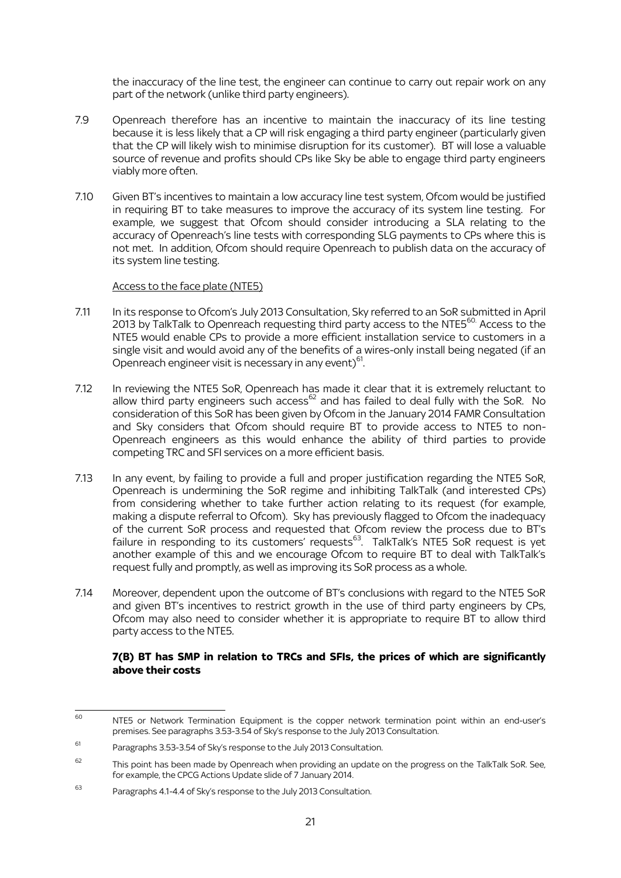the inaccuracy of the line test, the engineer can continue to carry out repair work on any part of the network (unlike third party engineers).

- 7.9 Openreach therefore has an incentive to maintain the inaccuracy of its line testing because it is less likely that a CP will risk engaging a third party engineer (particularly given that the CP will likely wish to minimise disruption for its customer). BT will lose a valuable source of revenue and profits should CPs like Sky be able to engage third party engineers viably more often.
- 7.10 Given BT's incentives to maintain a low accuracy line test system, Ofcom would be justified in requiring BT to take measures to improve the accuracy of its system line testing. For example, we suggest that Ofcom should consider introducing a SLA relating to the accuracy of Openreach's line tests with corresponding SLG payments to CPs where this is not met. In addition, Ofcom should require Openreach to publish data on the accuracy of its system line testing.

#### Access to the face plate (NTE5)

- 7.11 In its response to Ofcom's July 2013 Consultation, Sky referred to an SoR submitted in April 2013 by TalkTalk to Openreach requesting third party access to the NTE5 $^{\rm 60}$  Access to the NTE5 would enable CPs to provide a more efficient installation service to customers in a single visit and would avoid any of the benefits of a wires-only install being negated (if an Openreach engineer visit is necessary in any event)<sup>61</sup>. .
- 7.12 In reviewing the NTE5 SoR, Openreach has made it clear that it is extremely reluctant to allow third party engineers such access<sup>62</sup> and has failed to deal fully with the SoR. No consideration of this SoR has been given by Ofcom in the January 2014 FAMR Consultation and Sky considers that Ofcom should require BT to provide access to NTE5 to non-Openreach engineers as this would enhance the ability of third parties to provide competing TRC and SFI services on a more efficient basis.
- 7.13 In any event, by failing to provide a full and proper justification regarding the NTE5 SoR, Openreach is undermining the SoR regime and inhibiting TalkTalk (and interested CPs) from considering whether to take further action relating to its request (for example, making a dispute referral to Ofcom). Sky has previously flagged to Ofcom the inadequacy of the current SoR process and requested that Ofcom review the process due to BT's failure in responding to its customers' requests<sup>63</sup>. TalkTalk's NTE5 SoR request is yet another example of this and we encourage Ofcom to require BT to deal with TalkTalk's request fully and promptly, as well as improving its SoR process as a whole.
- 7.14 Moreover, dependent upon the outcome of BT's conclusions with regard to the NTE5 SoR and given BT's incentives to restrict growth in the use of third party engineers by CPs, Ofcom may also need to consider whether it is appropriate to require BT to allow third party access to the NTE5.

### **7(B) BT has SMP in relation to TRCs and SFIs, the prices of which are significantly above their costs**

<sup>60</sup> NTE5 or Network Termination Equipment is the copper network termination point within an end-user's premises. See paragraphs 3.53-3.54 of Sky's response to the July 2013 Consultation.

<sup>&</sup>lt;sup>61</sup> Paragraphs 3.53-3.54 of Sky's response to the July 2013 Consultation.

 $62$  This point has been made by Openreach when providing an update on the progress on the TalkTalk SoR. See, for example, the CPCG Actions Update slide of 7 January 2014.

<sup>63</sup> Paragraphs 4.1-4.4 of Sky's response to the July 2013 Consultation.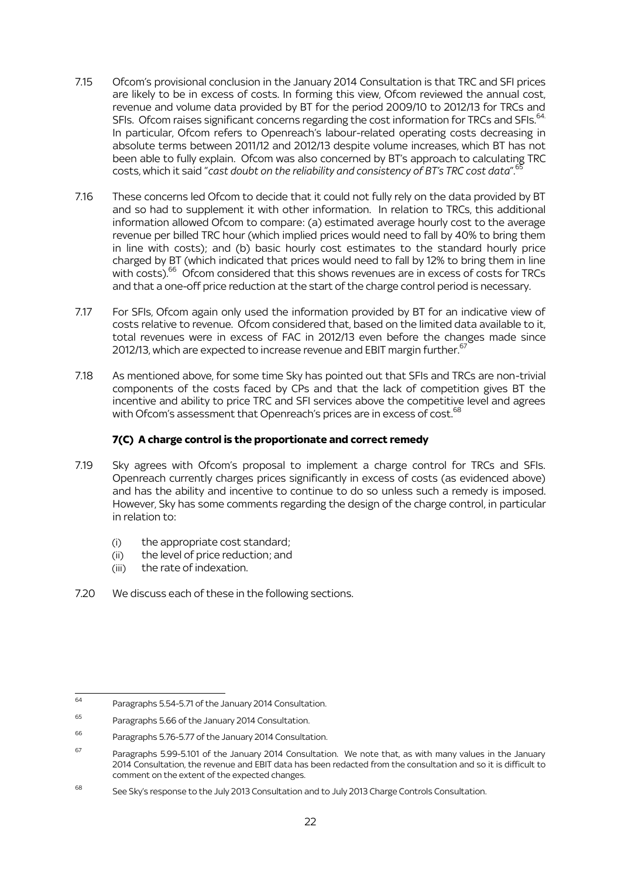- 7.15 Ofcom's provisional conclusion in the January 2014 Consultation is that TRC and SFI prices are likely to be in excess of costs. In forming this view, Ofcom reviewed the annual cost, revenue and volume data provided by BT for the period 2009/10 to 2012/13 for TRCs and SFIs. Ofcom raises significant concerns regarding the cost information for TRCs and SFIs.<sup>64</sup>  $\ddot{\phantom{0}}$ In particular, Ofcom refers to Openreach's labour-related operating costs decreasing in absolute terms between 2011/12 and 2012/13 despite volume increases, which BT has not been able to fully explain. Ofcom was also concerned by BT's approach to calculating TRC costs, which it said "*cast doubt on the reliability and consistency of BT's TRC cost data*". 65 ĺ
- 7.16 These concerns led Ofcom to decide that it could not fully rely on the data provided by BT and so had to supplement it with other information. In relation to TRCs, this additional information allowed Ofcom to compare: (a) estimated average hourly cost to the average revenue per billed TRC hour (which implied prices would need to fall by 40% to bring them in line with costs); and (b) basic hourly cost estimates to the standard hourly price charged by BT (which indicated that prices would need to fall by 12% to bring them in line with costs). <sup>66</sup> Ofcom considered that this shows revenues are in excess of costs for TRCs and that a one-off price reduction at the start of the charge control period is necessary.
- 7.17 For SFIs, Ofcom again only used the information provided by BT for an indicative view of costs relative to revenue. Ofcom considered that, based on the limited data available to it, total revenues were in excess of FAC in 2012/13 even before the changes made since 2012/13, which are expected to increase revenue and EBIT margin further. $^{67}$
- 7.18 As mentioned above, for some time Sky has pointed out that SFIs and TRCs are non-trivial components of the costs faced by CPs and that the lack of competition gives BT the incentive and ability to price TRC and SFI services above the competitive level and agrees with Ofcom's assessment that Openreach's prices are in excess of cost. 68

# **7(C) A charge control is the proportionate and correct remedy**

- 7.19 Sky agrees with Ofcom's proposal to implement a charge control for TRCs and SFIs. Openreach currently charges prices significantly in excess of costs (as evidenced above) and has the ability and incentive to continue to do so unless such a remedy is imposed. However, Sky has some comments regarding the design of the charge control, in particular in relation to:
	- (i) the appropriate cost standard;
	- (ii) the level of price reduction; and
	- (iii) the rate of indexation.
- 7.20 We discuss each of these in the following sections.

<sup>64</sup> Paragraphs 5.54-5.71 of the January 2014 Consultation.

<sup>65</sup> Paragraphs 5.66 of the January 2014 Consultation.

<sup>66</sup> Paragraphs 5.76-5.77 of the January 2014 Consultation.

 $67$  Paragraphs 5.99-5.101 of the January 2014 Consultation. We note that, as with many values in the January 2014 Consultation, the revenue and EBIT data has been redacted from the consultation and so it is difficult to comment on the extent of the expected changes.

 $68$  See Sky's response to the July 2013 Consultation and to July 2013 Charge Controls Consultation.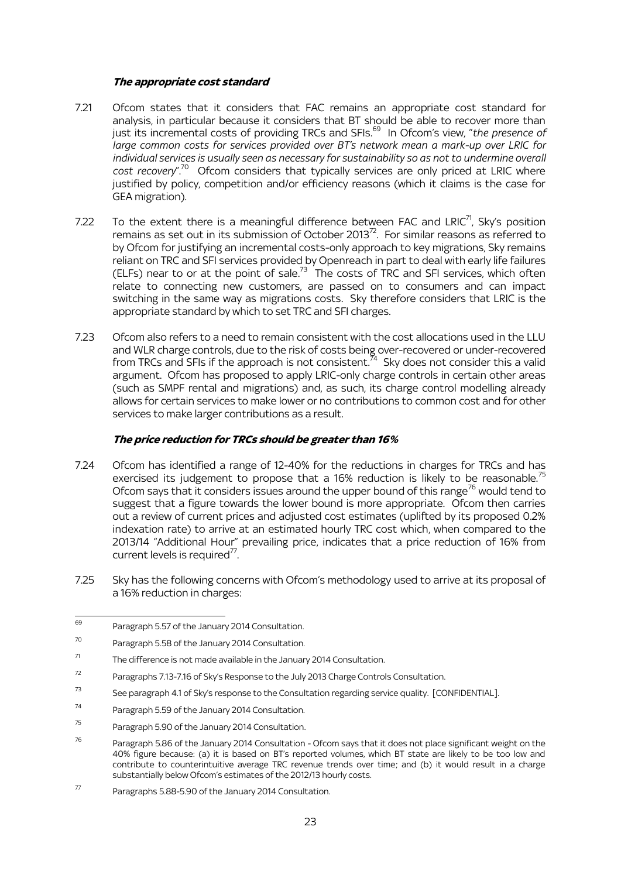#### **The appropriate cost standard**

- 7.21 Ofcom states that it considers that FAC remains an appropriate cost standard for analysis, in particular because it considers that BT should be able to recover more than just its incremental costs of providing TRCs and SFIs. 69 In Ofcom's view, "*the presence of large common costs for services provided over BT's network mean a mark-up over LRIC for individual services is usually seen as necessary for sustainability so as not to undermine overall*  cost recovery".<sup>70</sup> Ofcom considers that typically services are only priced at LRIC where justified by policy, competition and/or efficiency reasons (which it claims is the case for GEA migration).
- 7.22 To the extent there is a meaningful difference between FAC and LRIC<sup>71</sup>, Sky's position remains as set out in its submission of October 2013<sup>72</sup>. For similar reasons as referred to by Ofcom for justifying an incremental costs-only approach to key migrations, Sky remains reliant on TRC and SFI services provided by Openreach in part to deal with early life failures (ELFs) near to or at the point of sale. $73$  The costs of TRC and SFI services, which often relate to connecting new customers, are passed on to consumers and can impact switching in the same way as migrations costs. Sky therefore considers that LRIC is the appropriate standard by which to set TRC and SFI charges.
- 7.23 Ofcom also refers to a need to remain consistent with the cost allocations used in the LLU and WLR charge controls, due to the risk of costs being over-recovered or under-recovered from TRCs and SFIs if the approach is not consistent.  $^{\bar{7}4}$  Sky does not consider this a valid argument. Ofcom has proposed to apply LRIC-only charge controls in certain other areas (such as SMPF rental and migrations) and, as such, its charge control modelling already allows for certain services to make lower or no contributions to common cost and for other services to make larger contributions as a result.

#### **The price reduction for TRCs should be greater than 16%**

- 7.24 Ofcom has identified a range of 12-40% for the reductions in charges for TRCs and has exercised its judgement to propose that a 16% reduction is likely to be reasonable.<sup>75</sup> Ofcom says that it considers issues around the upper bound of this range<sup>76</sup> would tend to suggest that a figure towards the lower bound is more appropriate. Ofcom then carries out a review of current prices and adjusted cost estimates (uplifted by its proposed 0.2% indexation rate) to arrive at an estimated hourly TRC cost which, when compared to the 2013/14 "Additional Hour" prevailing price, indicates that a price reduction of 16% from current levels is required $77$ . .
- 7.25 Sky has the following concerns with Ofcom's methodology used to arrive at its proposal of a 16% reduction in charges:

- $72$  Paragraphs 7.13-7.16 of Sky's Response to the July 2013 Charge Controls Consultation.
- <sup>73</sup> See paragraph 4.1 of Sky's response to the Consultation regarding service quality. [CONFIDENTIAL].
- <sup>74</sup> Paragraph 5.59 of the January 2014 Consultation.

<sup>69</sup> Paragraph 5.57 of the January 2014 Consultation.

<sup>70</sup> Paragraph 5.58 of the January 2014 Consultation.

 $71$  The difference is not made available in the January 2014 Consultation.

<sup>75</sup> Paragraph 5.90 of the January 2014 Consultation.

<sup>&</sup>lt;sup>76</sup> Paragraph 5.86 of the January 2014 Consultation - Ofcom says that it does not place significant weight on the 40% figure because: (a) it is based on BT's reported volumes, which BT state are likely to be too low and contribute to counterintuitive average TRC revenue trends over time; and (b) it would result in a charge substantially below Ofcom's estimates of the 2012/13 hourly costs.

 $77$  Paragraphs 5.88-5.90 of the January 2014 Consultation.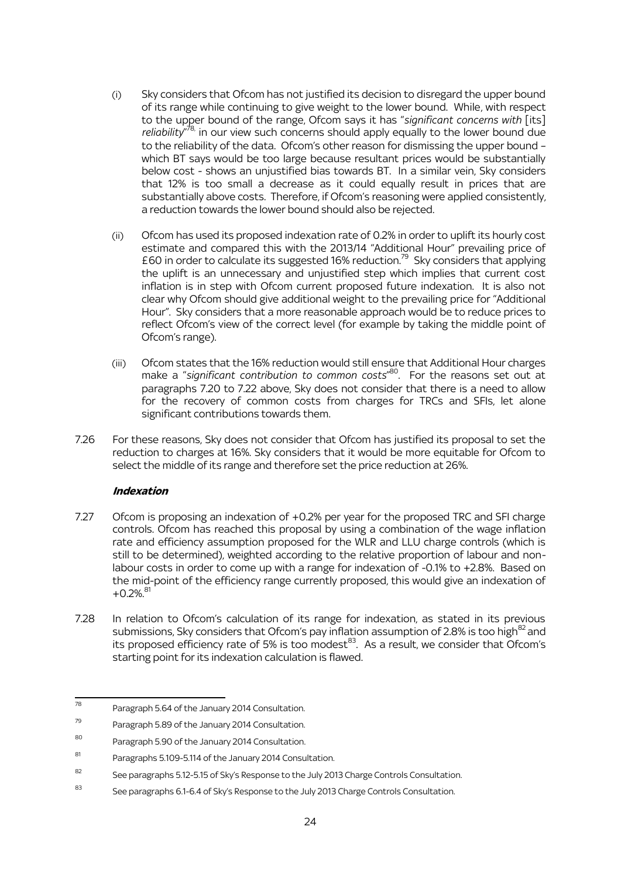- (i) Sky considers that Ofcom has not justified its decision to disregard the upper bound of its range while continuing to give weight to the lower bound. While, with respect to the upper bound of the range, Ofcom says it has "*significant concerns with* [its] reliability<sup>78</sup>, in our view such concerns should apply equally to the lower bound due to the reliability of the data. Ofcom's other reason for dismissing the upper bound – which BT says would be too large because resultant prices would be substantially below cost - shows an unjustified bias towards BT. In a similar vein, Sky considers that 12% is too small a decrease as it could equally result in prices that are substantially above costs. Therefore, if Ofcom's reasoning were applied consistently, a reduction towards the lower bound should also be rejected.
- (ii) Ofcom has used its proposed indexation rate of 0.2% in order to uplift its hourly cost estimate and compared this with the 2013/14 "Additional Hour" prevailing price of £60 in order to calculate its suggested 16% reduction.<sup>79</sup> Sky considers that applying the uplift is an unnecessary and unjustified step which implies that current cost inflation is in step with Ofcom current proposed future indexation. It is also not clear why Ofcom should give additional weight to the prevailing price for "Additional Hour". Sky considers that a more reasonable approach would be to reduce prices to reflect Ofcom's view of the correct level (for example by taking the middle point of Ofcom's range).
- (iii) Ofcom states that the 16% reduction would still ensure that Additional Hour charges make a "*significant contribution to common costs*" <sup>80</sup>. For the reasons set out at paragraphs 7.20 to 7.22 above, Sky does not consider that there is a need to allow for the recovery of common costs from charges for TRCs and SFIs, let alone significant contributions towards them.
- 7.26 For these reasons, Sky does not consider that Ofcom has justified its proposal to set the reduction to charges at 16%. Sky considers that it would be more equitable for Ofcom to select the middle of its range and therefore set the price reduction at 26%.

# **Indexation**

- 7.27 Ofcom is proposing an indexation of +0.2% per year for the proposed TRC and SFI charge controls. Ofcom has reached this proposal by using a combination of the wage inflation rate and efficiency assumption proposed for the WLR and LLU charge controls (which is still to be determined), weighted according to the relative proportion of labour and nonlabour costs in order to come up with a range for indexation of -0.1% to +2.8%. Based on the mid-point of the efficiency range currently proposed, this would give an indexation of  $+0.2\%$ .<sup>81</sup>
- 7.28 In relation to Ofcom's calculation of its range for indexation, as stated in its previous submissions, Sky considers that Ofcom's pay inflation assumption of 2.8% is too high<sup>82</sup> and its proposed efficiency rate of 5% is too modest<sup>83</sup>. As a result, we consider that Ofcom's starting point for its indexation calculation is flawed.

<sup>78</sup> Paragraph 5.64 of the January 2014 Consultation.

<sup>79</sup> Paragraph 5.89 of the January 2014 Consultation.

<sup>80</sup> Paragraph 5.90 of the January 2014 Consultation.

<sup>81</sup> Paragraphs 5.109-5.114 of the January 2014 Consultation.

 $82$  See paragraphs 5.12-5.15 of Sky's Response to the July 2013 Charge Controls Consultation.

<sup>83</sup> See paragraphs 6.1-6.4 of Sky's Response to the July 2013 Charge Controls Consultation.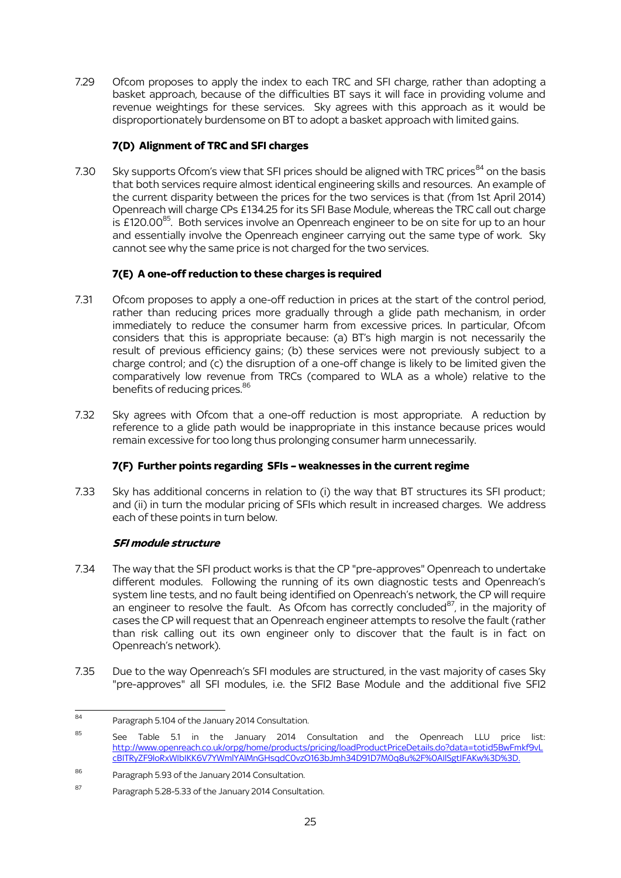7.29 Ofcom proposes to apply the index to each TRC and SFI charge, rather than adopting a basket approach, because of the difficulties BT says it will face in providing volume and revenue weightings for these services. Sky agrees with this approach as it would be disproportionately burdensome on BT to adopt a basket approach with limited gains.

# **7(D) Alignment of TRC and SFI charges**

7.30 Sky supports Ofcom's view that SFI prices should be aligned with TRC prices  $84$  on the basis that both services require almost identical engineering skills and resources. An example of the current disparity between the prices for the two services is that (from 1st April 2014) Openreach will charge CPs £134.25 for its SFI Base Module, whereas the TRC call out charge is £120.00<sup>85</sup>. Both services involve an Openreach engineer to be on site for up to an hour and essentially involve the Openreach engineer carrying out the same type of work. Sky cannot see why the same price is not charged for the two services.

# **7(E) A one-off reduction to these charges is required**

- 7.31 Ofcom proposes to apply a one-off reduction in prices at the start of the control period, rather than reducing prices more gradually through a glide path mechanism, in order immediately to reduce the consumer harm from excessive prices. In particular, Ofcom considers that this is appropriate because: (a) BT's high margin is not necessarily the result of previous efficiency gains; (b) these services were not previously subject to a charge control; and (c) the disruption of a one-off change is likely to be limited given the comparatively low revenue from TRCs (compared to WLA as a whole) relative to the benefits of reducing prices. 86
- 7.32 Sky agrees with Ofcom that a one-off reduction is most appropriate. A reduction by reference to a glide path would be inappropriate in this instance because prices would remain excessive for too long thus prolonging consumer harm unnecessarily.

# **7(F) Further points regarding SFIs – weaknesses in the current regime**

7.33 Sky has additional concerns in relation to (i) the way that BT structures its SFI product; and (ii) in turn the modular pricing of SFIs which result in increased charges. We address each of these points in turn below.

# **SFI module structure**

- 7.34 The way that the SFI product works is that the CP "pre-approves" Openreach to undertake different modules. Following the running of its own diagnostic tests and Openreach's system line tests, and no fault being identified on Openreach's network, the CP will require an engineer to resolve the fault. As Ofcom has correctly concluded $^{87}$ , in the majority of cases the CP will request that an Openreach engineer attempts to resolve the fault (rather than risk calling out its own engineer only to discover that the fault is in fact on Openreach's network).
- 7.35 Due to the way Openreach's SFI modules are structured, in the vast majority of cases Sky "pre-approves" all SFI modules, i.e. the SFI2 Base Module and the additional five SFI2

<sup>84</sup> Paragraph 5.104 of the January 2014 Consultation.

<sup>85</sup> See Table 5.1 in the January 2014 Consultation and the Openreach LLU price list: [http://www.openreach.co.uk/orpg/home/products/pricing/loadProductPriceDetails.do?data=totid5BwFmkf9vL](http://www.openreach.co.uk/orpg/home/products/pricing/loadProductPriceDetails.do?data=totid5BwFmkf9vLcBITRyZF9loRxWIbIKK6V7YWmlYAlMnGHsqdC0vzO163bJmh34D91D7M0q8u%2F%0AIlSgtIFAKw%3D%3D) [cBITRyZF9loRxWIbIKK6V7YWmlYAlMnGHsqdC0vzO163bJmh34D91D7M0q8u%2F%0AIlSgtIFAKw%3D%3D.](http://www.openreach.co.uk/orpg/home/products/pricing/loadProductPriceDetails.do?data=totid5BwFmkf9vLcBITRyZF9loRxWIbIKK6V7YWmlYAlMnGHsqdC0vzO163bJmh34D91D7M0q8u%2F%0AIlSgtIFAKw%3D%3D)

<sup>86</sup> Paragraph 5.93 of the January 2014 Consultation.

<sup>87</sup> Paragraph 5.28-5.33 of the January 2014 Consultation.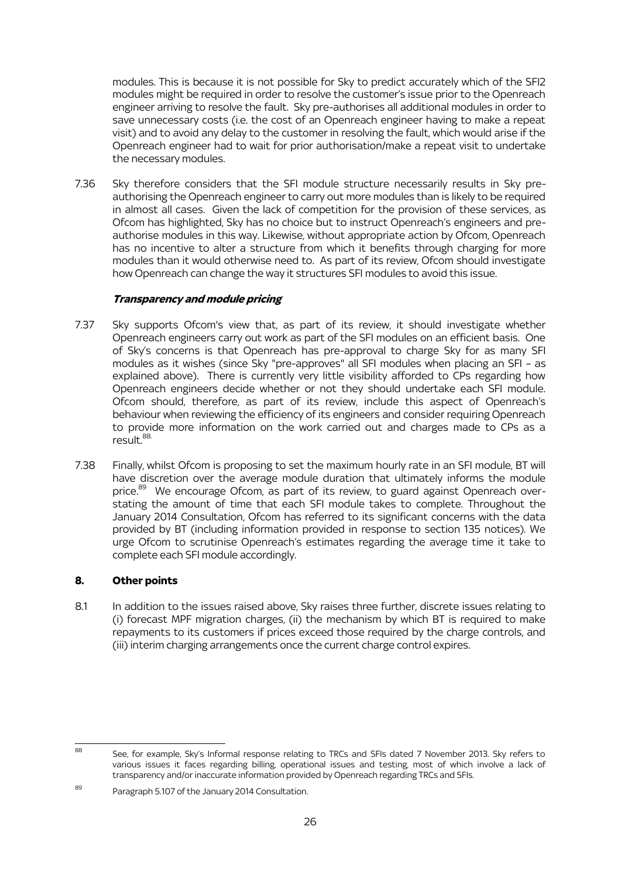modules. This is because it is not possible for Sky to predict accurately which of the SFI2 modules might be required in order to resolve the customer's issue prior to the Openreach engineer arriving to resolve the fault. Sky pre-authorises all additional modules in order to save unnecessary costs (i.e. the cost of an Openreach engineer having to make a repeat visit) and to avoid any delay to the customer in resolving the fault, which would arise if the Openreach engineer had to wait for prior authorisation/make a repeat visit to undertake the necessary modules.

7.36 Sky therefore considers that the SFI module structure necessarily results in Sky preauthorising the Openreach engineer to carry out more modules than is likely to be required in almost all cases. Given the lack of competition for the provision of these services, as Ofcom has highlighted, Sky has no choice but to instruct Openreach's engineers and preauthorise modules in this way. Likewise, without appropriate action by Ofcom, Openreach has no incentive to alter a structure from which it benefits through charging for more modules than it would otherwise need to. As part of its review, Ofcom should investigate how Openreach can change the way it structures SFI modules to avoid this issue.

#### **Transparency and module pricing**

- 7.37 Sky supports Ofcom's view that, as part of its review, it should investigate whether Openreach engineers carry out work as part of the SFI modules on an efficient basis. One of Sky's concerns is that Openreach has pre-approval to charge Sky for as many SFI modules as it wishes (since Sky "pre-approves" all SFI modules when placing an SFI – as explained above). There is currently very little visibility afforded to CPs regarding how Openreach engineers decide whether or not they should undertake each SFI module. Ofcom should, therefore, as part of its review, include this aspect of Openreach's behaviour when reviewing the efficiency of its engineers and consider requiring Openreach to provide more information on the work carried out and charges made to CPs as a result. 88.
- 7.38 Finally, whilst Ofcom is proposing to set the maximum hourly rate in an SFI module, BT will have discretion over the average module duration that ultimately informs the module price.<sup>89</sup> We encourage Ofcom, as part of its review, to guard against Openreach overstating the amount of time that each SFI module takes to complete. Throughout the January 2014 Consultation, Ofcom has referred to its significant concerns with the data provided by BT (including information provided in response to section 135 notices). We urge Ofcom to scrutinise Openreach's estimates regarding the average time it take to complete each SFI module accordingly.

#### **8. Other points**

8.1 In addition to the issues raised above, Sky raises three further, discrete issues relating to (i) forecast MPF migration charges, (ii) the mechanism by which BT is required to make repayments to its customers if prices exceed those required by the charge controls, and (iii) interim charging arrangements once the current charge control expires.

<sup>.</sup> 88 See, for example, Sky's Informal response relating to TRCs and SFIs dated 7 November 2013. Sky refers to various issues it faces regarding billing, operational issues and testing, most of which involve a lack of transparency and/or inaccurate information provided by Openreach regarding TRCs and SFIs.

<sup>89</sup> Paragraph 5.107 of the January 2014 Consultation.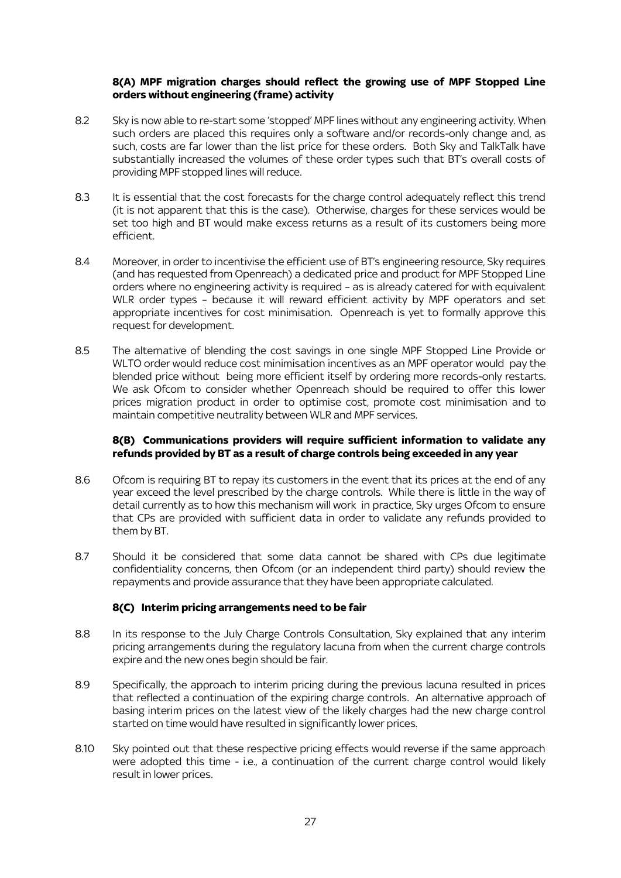#### **8(A) MPF migration charges should reflect the growing use of MPF Stopped Line orders without engineering (frame) activity**

- 8.2 Sky is now able to re-start some 'stopped' MPF lines without any engineering activity. When such orders are placed this requires only a software and/or records-only change and, as such, costs are far lower than the list price for these orders. Both Sky and TalkTalk have substantially increased the volumes of these order types such that BT's overall costs of providing MPF stopped lines will reduce.
- 8.3 It is essential that the cost forecasts for the charge control adequately reflect this trend (it is not apparent that this is the case). Otherwise, charges for these services would be set too high and BT would make excess returns as a result of its customers being more efficient.
- 8.4 Moreover, in order to incentivise the efficient use of BT's engineering resource, Sky requires (and has requested from Openreach) a dedicated price and product for MPF Stopped Line orders where no engineering activity is required – as is already catered for with equivalent WLR order types – because it will reward efficient activity by MPF operators and set appropriate incentives for cost minimisation. Openreach is yet to formally approve this request for development.
- 8.5 The alternative of blending the cost savings in one single MPF Stopped Line Provide or WLTO order would reduce cost minimisation incentives as an MPF operator would pay the blended price without being more efficient itself by ordering more records-only restarts. We ask Ofcom to consider whether Openreach should be required to offer this lower prices migration product in order to optimise cost, promote cost minimisation and to maintain competitive neutrality between WLR and MPF services.

#### **8(B) Communications providers will require sufficient information to validate any refunds provided by BT as a result of charge controls being exceeded in any year**

- 8.6 Ofcom is requiring BT to repay its customers in the event that its prices at the end of any year exceed the level prescribed by the charge controls. While there is little in the way of detail currently as to how this mechanism will work in practice, Sky urges Ofcom to ensure that CPs are provided with sufficient data in order to validate any refunds provided to them by BT.
- 8.7 Should it be considered that some data cannot be shared with CPs due legitimate confidentiality concerns, then Ofcom (or an independent third party) should review the repayments and provide assurance that they have been appropriate calculated.

#### **8(C) Interim pricing arrangements need to be fair**

- 8.8 In its response to the July Charge Controls Consultation, Sky explained that any interim pricing arrangements during the regulatory lacuna from when the current charge controls expire and the new ones begin should be fair.
- 8.9 Specifically, the approach to interim pricing during the previous lacuna resulted in prices that reflected a continuation of the expiring charge controls. An alternative approach of basing interim prices on the latest view of the likely charges had the new charge control started on time would have resulted in significantly lower prices.
- 8.10 Sky pointed out that these respective pricing effects would reverse if the same approach were adopted this time - i.e., a continuation of the current charge control would likely result in lower prices.